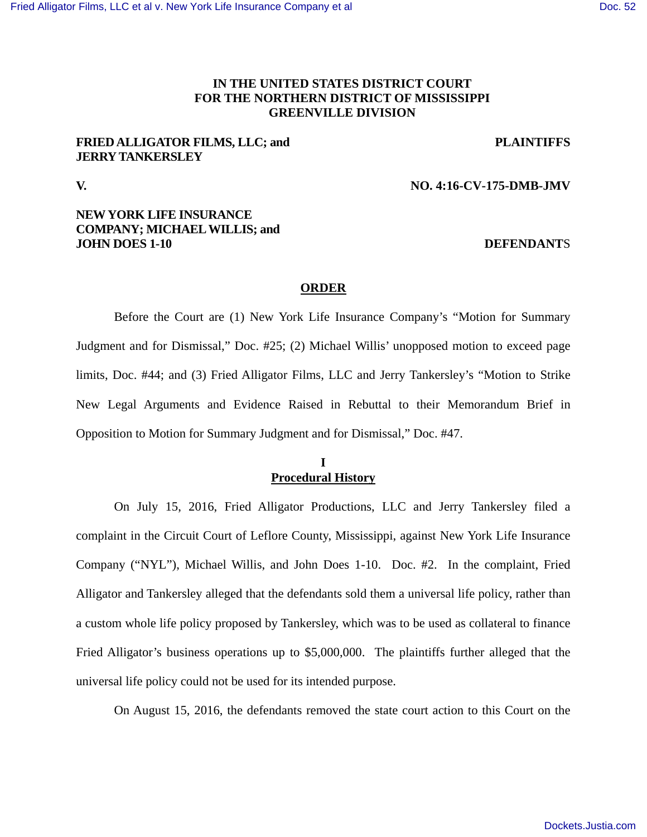# **IN THE UNITED STATES DISTRICT COURT FOR THE NORTHERN DISTRICT OF MISSISSIPPI GREENVILLE DIVISION**

# **FRIED ALLIGATOR FILMS, LLC; and PLAINTIFFS JERRY TANKERSLEY**

## **V. NO. 4:16-CV-175-DMB-JMV**

# **NEW YORK LIFE INSURANCE COMPANY; MICHAEL WILLIS; and JOHN DOES 1-10 DEFENDANTS**

## **ORDER**

Before the Court are (1) New York Life Insurance Company's "Motion for Summary Judgment and for Dismissal," Doc. #25; (2) Michael Willis' unopposed motion to exceed page limits, Doc. #44; and (3) Fried Alligator Films, LLC and Jerry Tankersley's "Motion to Strike New Legal Arguments and Evidence Raised in Rebuttal to their Memorandum Brief in Opposition to Motion for Summary Judgment and for Dismissal," Doc. #47.

## **I Procedural History**

On July 15, 2016, Fried Alligator Productions, LLC and Jerry Tankersley filed a complaint in the Circuit Court of Leflore County, Mississippi, against New York Life Insurance Company ("NYL"), Michael Willis, and John Does 1-10. Doc. #2. In the complaint, Fried Alligator and Tankersley alleged that the defendants sold them a universal life policy, rather than a custom whole life policy proposed by Tankersley, which was to be used as collateral to finance Fried Alligator's business operations up to \$5,000,000. The plaintiffs further alleged that the universal life policy could not be used for its intended purpose.

On August 15, 2016, the defendants removed the state court action to this Court on the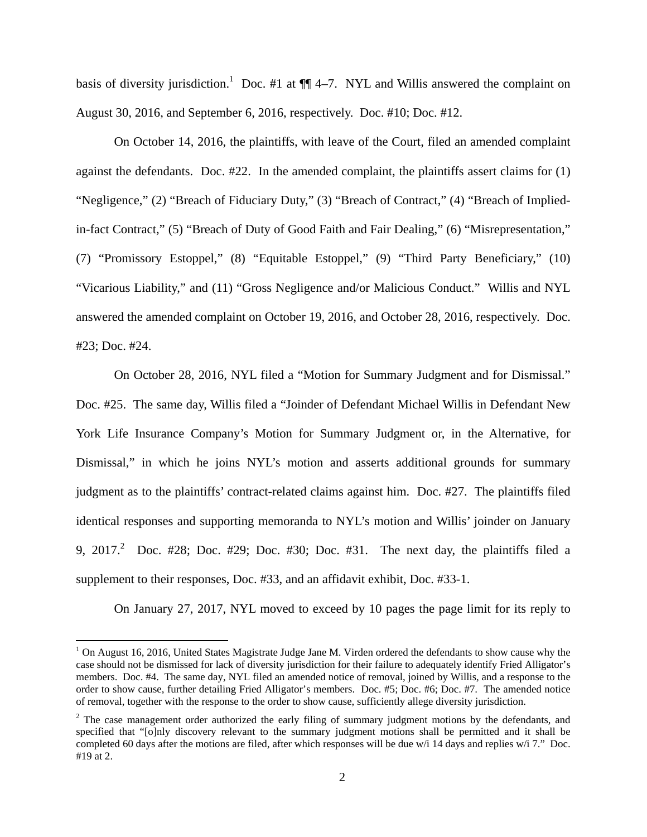basis of diversity jurisdiction.<sup>1</sup> Doc. #1 at  $\P\P$  4–7. NYL and Willis answered the complaint on August 30, 2016, and September 6, 2016, respectively. Doc. #10; Doc. #12.

On October 14, 2016, the plaintiffs, with leave of the Court, filed an amended complaint against the defendants. Doc. #22. In the amended complaint, the plaintiffs assert claims for (1) "Negligence," (2) "Breach of Fiduciary Duty," (3) "Breach of Contract," (4) "Breach of Impliedin-fact Contract," (5) "Breach of Duty of Good Faith and Fair Dealing," (6) "Misrepresentation," (7) "Promissory Estoppel," (8) "Equitable Estoppel," (9) "Third Party Beneficiary," (10) "Vicarious Liability," and (11) "Gross Negligence and/or Malicious Conduct." Willis and NYL answered the amended complaint on October 19, 2016, and October 28, 2016, respectively. Doc. #23; Doc. #24.

On October 28, 2016, NYL filed a "Motion for Summary Judgment and for Dismissal." Doc. #25. The same day, Willis filed a "Joinder of Defendant Michael Willis in Defendant New York Life Insurance Company's Motion for Summary Judgment or, in the Alternative, for Dismissal," in which he joins NYL's motion and asserts additional grounds for summary judgment as to the plaintiffs' contract-related claims against him. Doc. #27. The plaintiffs filed identical responses and supporting memoranda to NYL's motion and Willis' joinder on January 9, 2017.<sup>2</sup> Doc. #28; Doc. #29; Doc. #30; Doc. #31. The next day, the plaintiffs filed a supplement to their responses, Doc. #33, and an affidavit exhibit, Doc. #33-1.

On January 27, 2017, NYL moved to exceed by 10 pages the page limit for its reply to

 $1$  On August 16, 2016, United States Magistrate Judge Jane M. Virden ordered the defendants to show cause why the case should not be dismissed for lack of diversity jurisdiction for their failure to adequately identify Fried Alligator's members. Doc. #4. The same day, NYL filed an amended notice of removal, joined by Willis, and a response to the order to show cause, further detailing Fried Alligator's members. Doc. #5; Doc. #6; Doc. #7. The amended notice of removal, together with the response to the order to show cause, sufficiently allege diversity jurisdiction.

 $2$  The case management order authorized the early filing of summary judgment motions by the defendants, and specified that "[o]nly discovery relevant to the summary judgment motions shall be permitted and it shall be completed 60 days after the motions are filed, after which responses will be due w/i 14 days and replies w/i 7." Doc. #19 at 2.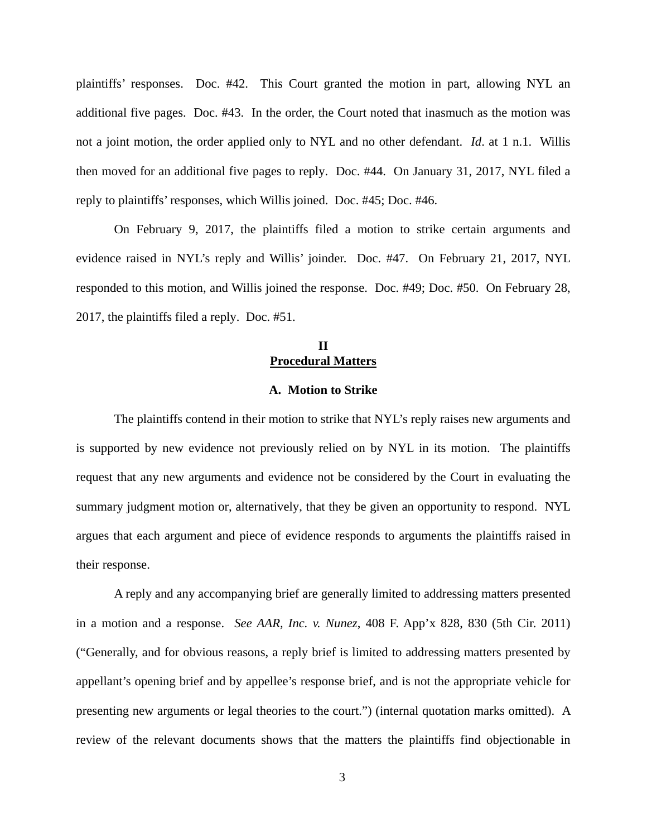plaintiffs' responses. Doc. #42. This Court granted the motion in part, allowing NYL an additional five pages. Doc. #43. In the order, the Court noted that inasmuch as the motion was not a joint motion, the order applied only to NYL and no other defendant. *Id*. at 1 n.1. Willis then moved for an additional five pages to reply. Doc. #44. On January 31, 2017, NYL filed a reply to plaintiffs' responses, which Willis joined. Doc. #45; Doc. #46.

On February 9, 2017, the plaintiffs filed a motion to strike certain arguments and evidence raised in NYL's reply and Willis' joinder. Doc. #47. On February 21, 2017, NYL responded to this motion, and Willis joined the response. Doc. #49; Doc. #50. On February 28, 2017, the plaintiffs filed a reply. Doc. #51.

# **II Procedural Matters**

## **A. Motion to Strike**

The plaintiffs contend in their motion to strike that NYL's reply raises new arguments and is supported by new evidence not previously relied on by NYL in its motion. The plaintiffs request that any new arguments and evidence not be considered by the Court in evaluating the summary judgment motion or, alternatively, that they be given an opportunity to respond. NYL argues that each argument and piece of evidence responds to arguments the plaintiffs raised in their response.

A reply and any accompanying brief are generally limited to addressing matters presented in a motion and a response. *See AAR, Inc. v. Nunez*, 408 F. App'x 828, 830 (5th Cir. 2011) ("Generally, and for obvious reasons, a reply brief is limited to addressing matters presented by appellant's opening brief and by appellee's response brief, and is not the appropriate vehicle for presenting new arguments or legal theories to the court.") (internal quotation marks omitted). A review of the relevant documents shows that the matters the plaintiffs find objectionable in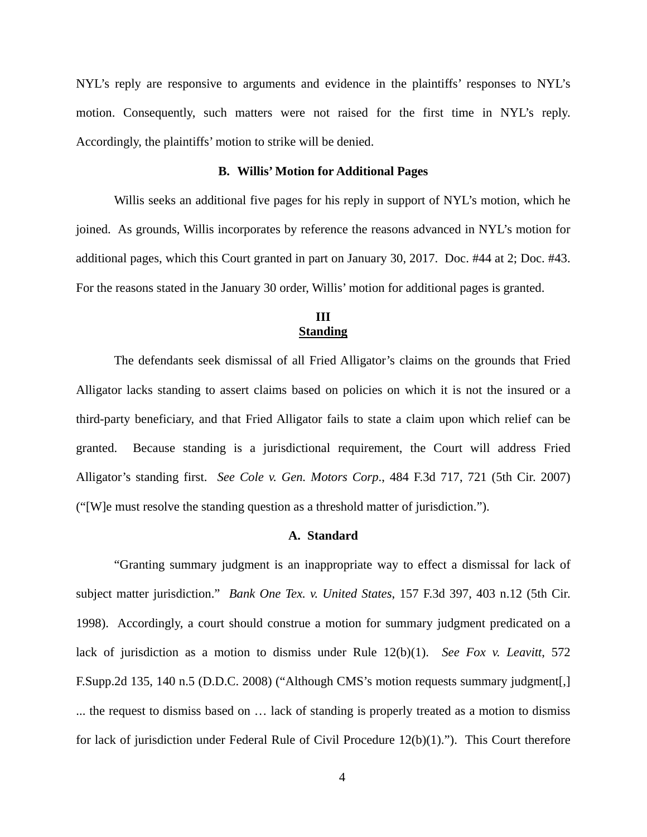NYL's reply are responsive to arguments and evidence in the plaintiffs' responses to NYL's motion. Consequently, such matters were not raised for the first time in NYL's reply. Accordingly, the plaintiffs' motion to strike will be denied.

## **B. Willis' Motion for Additional Pages**

Willis seeks an additional five pages for his reply in support of NYL's motion, which he joined. As grounds, Willis incorporates by reference the reasons advanced in NYL's motion for additional pages, which this Court granted in part on January 30, 2017. Doc. #44 at 2; Doc. #43. For the reasons stated in the January 30 order, Willis' motion for additional pages is granted.

# **III Standing**

The defendants seek dismissal of all Fried Alligator's claims on the grounds that Fried Alligator lacks standing to assert claims based on policies on which it is not the insured or a third-party beneficiary, and that Fried Alligator fails to state a claim upon which relief can be granted. Because standing is a jurisdictional requirement, the Court will address Fried Alligator's standing first. *See Cole v. Gen. Motors Corp*., 484 F.3d 717, 721 (5th Cir. 2007) ("[W]e must resolve the standing question as a threshold matter of jurisdiction.").

## **A. Standard**

"Granting summary judgment is an inappropriate way to effect a dismissal for lack of subject matter jurisdiction." *Bank One Tex. v. United States*, 157 F.3d 397, 403 n.12 (5th Cir. 1998). Accordingly, a court should construe a motion for summary judgment predicated on a lack of jurisdiction as a motion to dismiss under Rule 12(b)(1). *See Fox v. Leavitt*, 572 F.Supp.2d 135, 140 n.5 (D.D.C. 2008) ("Although CMS's motion requests summary judgment[,] ... the request to dismiss based on … lack of standing is properly treated as a motion to dismiss for lack of jurisdiction under Federal Rule of Civil Procedure 12(b)(1)."). This Court therefore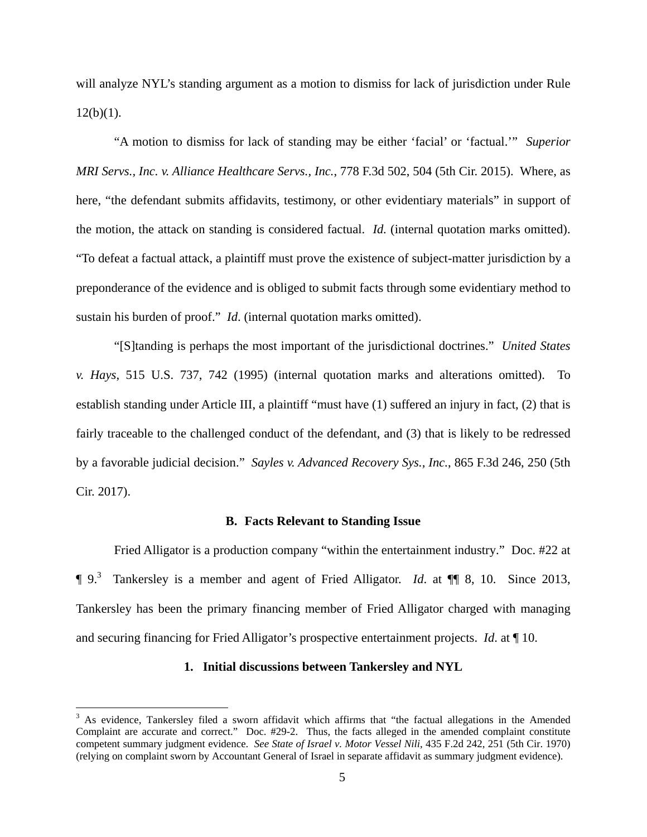will analyze NYL's standing argument as a motion to dismiss for lack of jurisdiction under Rule  $12(b)(1)$ .

"A motion to dismiss for lack of standing may be either 'facial' or 'factual.'" *Superior MRI Servs., Inc. v. Alliance Healthcare Servs., Inc.*, 778 F.3d 502, 504 (5th Cir. 2015). Where, as here, "the defendant submits affidavits, testimony, or other evidentiary materials" in support of the motion, the attack on standing is considered factual. *Id.* (internal quotation marks omitted). "To defeat a factual attack, a plaintiff must prove the existence of subject-matter jurisdiction by a preponderance of the evidence and is obliged to submit facts through some evidentiary method to sustain his burden of proof." *Id*. (internal quotation marks omitted).

"[S]tanding is perhaps the most important of the jurisdictional doctrines." *United States v. Hays*, 515 U.S. 737, 742 (1995) (internal quotation marks and alterations omitted). To establish standing under Article III, a plaintiff "must have (1) suffered an injury in fact, (2) that is fairly traceable to the challenged conduct of the defendant, and (3) that is likely to be redressed by a favorable judicial decision." *Sayles v. Advanced Recovery Sys., Inc.*, 865 F.3d 246, 250 (5th Cir. 2017).

#### **B. Facts Relevant to Standing Issue**

Fried Alligator is a production company "within the entertainment industry." Doc. #22 at ¶ 9.<sup>3</sup> Tankersley is a member and agent of Fried Alligator. *Id*. at ¶¶ 8, 10. Since 2013, Tankersley has been the primary financing member of Fried Alligator charged with managing and securing financing for Fried Alligator's prospective entertainment projects. *Id*. at ¶ 10.

## **1. Initial discussions between Tankersley and NYL**

<sup>&</sup>lt;sup>3</sup> As evidence, Tankersley filed a sworn affidavit which affirms that "the factual allegations in the Amended Complaint are accurate and correct." Doc. #29-2. Thus, the facts alleged in the amended complaint constitute competent summary judgment evidence. *See State of Israel v. Motor Vessel Nili*, 435 F.2d 242, 251 (5th Cir. 1970) (relying on complaint sworn by Accountant General of Israel in separate affidavit as summary judgment evidence).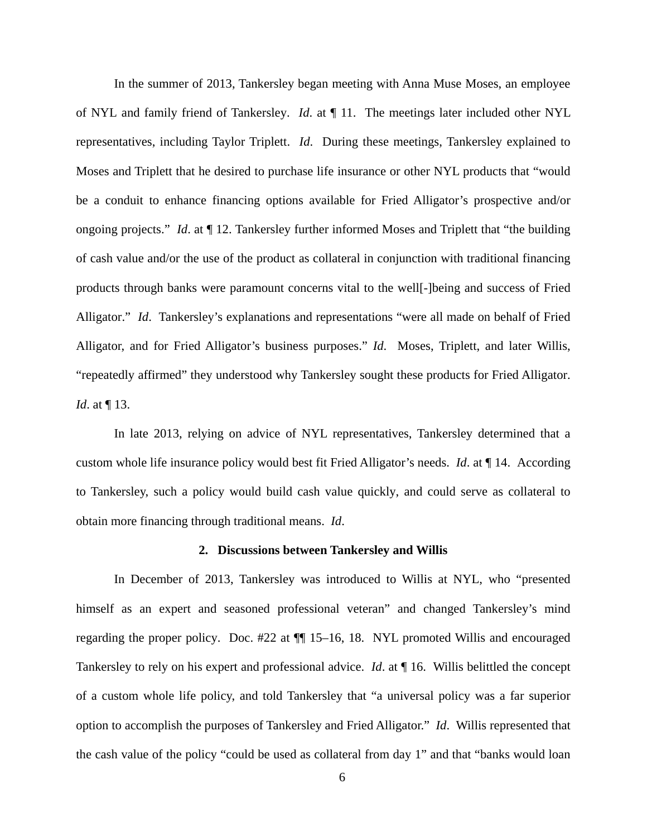In the summer of 2013, Tankersley began meeting with Anna Muse Moses, an employee of NYL and family friend of Tankersley. *Id*. at ¶ 11. The meetings later included other NYL representatives, including Taylor Triplett. *Id*. During these meetings, Tankersley explained to Moses and Triplett that he desired to purchase life insurance or other NYL products that "would be a conduit to enhance financing options available for Fried Alligator's prospective and/or ongoing projects." *Id*. at ¶ 12. Tankersley further informed Moses and Triplett that "the building of cash value and/or the use of the product as collateral in conjunction with traditional financing products through banks were paramount concerns vital to the well[-]being and success of Fried Alligator." *Id*. Tankersley's explanations and representations "were all made on behalf of Fried Alligator, and for Fried Alligator's business purposes." *Id*.Moses, Triplett, and later Willis, "repeatedly affirmed" they understood why Tankersley sought these products for Fried Alligator. *Id.* at  $\P$  13.

In late 2013, relying on advice of NYL representatives, Tankersley determined that a custom whole life insurance policy would best fit Fried Alligator's needs. *Id*. at ¶ 14. According to Tankersley, such a policy would build cash value quickly, and could serve as collateral to obtain more financing through traditional means. *Id*.

#### **2. Discussions between Tankersley and Willis**

In December of 2013, Tankersley was introduced to Willis at NYL, who "presented himself as an expert and seasoned professional veteran" and changed Tankersley's mind regarding the proper policy. Doc. #22 at ¶¶ 15–16, 18. NYL promoted Willis and encouraged Tankersley to rely on his expert and professional advice. *Id*. at ¶ 16. Willis belittled the concept of a custom whole life policy, and told Tankersley that "a universal policy was a far superior option to accomplish the purposes of Tankersley and Fried Alligator." *Id*. Willis represented that the cash value of the policy "could be used as collateral from day 1" and that "banks would loan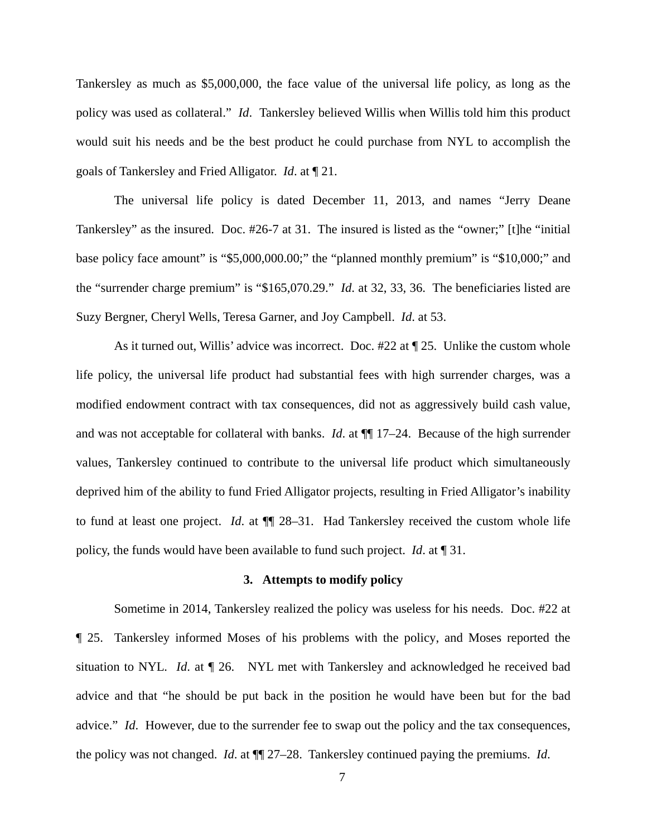Tankersley as much as \$5,000,000, the face value of the universal life policy, as long as the policy was used as collateral." *Id*. Tankersley believed Willis when Willis told him this product would suit his needs and be the best product he could purchase from NYL to accomplish the goals of Tankersley and Fried Alligator. *Id*. at ¶ 21.

The universal life policy is dated December 11, 2013, and names "Jerry Deane Tankersley" as the insured. Doc. #26-7 at 31. The insured is listed as the "owner;" [t]he "initial base policy face amount" is "\$5,000,000.00;" the "planned monthly premium" is "\$10,000;" and the "surrender charge premium" is "\$165,070.29." *Id*. at 32, 33, 36. The beneficiaries listed are Suzy Bergner, Cheryl Wells, Teresa Garner, and Joy Campbell. *Id*. at 53.

As it turned out, Willis' advice was incorrect. Doc. #22 at ¶ 25. Unlike the custom whole life policy, the universal life product had substantial fees with high surrender charges, was a modified endowment contract with tax consequences, did not as aggressively build cash value, and was not acceptable for collateral with banks. *Id*. at ¶¶ 17–24. Because of the high surrender values, Tankersley continued to contribute to the universal life product which simultaneously deprived him of the ability to fund Fried Alligator projects, resulting in Fried Alligator's inability to fund at least one project. *Id*. at ¶¶ 28–31. Had Tankersley received the custom whole life policy, the funds would have been available to fund such project. *Id*. at ¶ 31.

#### **3. Attempts to modify policy**

Sometime in 2014, Tankersley realized the policy was useless for his needs. Doc. #22 at ¶ 25. Tankersley informed Moses of his problems with the policy, and Moses reported the situation to NYL*. Id*. at ¶ 26. NYL met with Tankersley and acknowledged he received bad advice and that "he should be put back in the position he would have been but for the bad advice." *Id*. However, due to the surrender fee to swap out the policy and the tax consequences, the policy was not changed. *Id*. at ¶¶ 27–28. Tankersley continued paying the premiums. *Id*.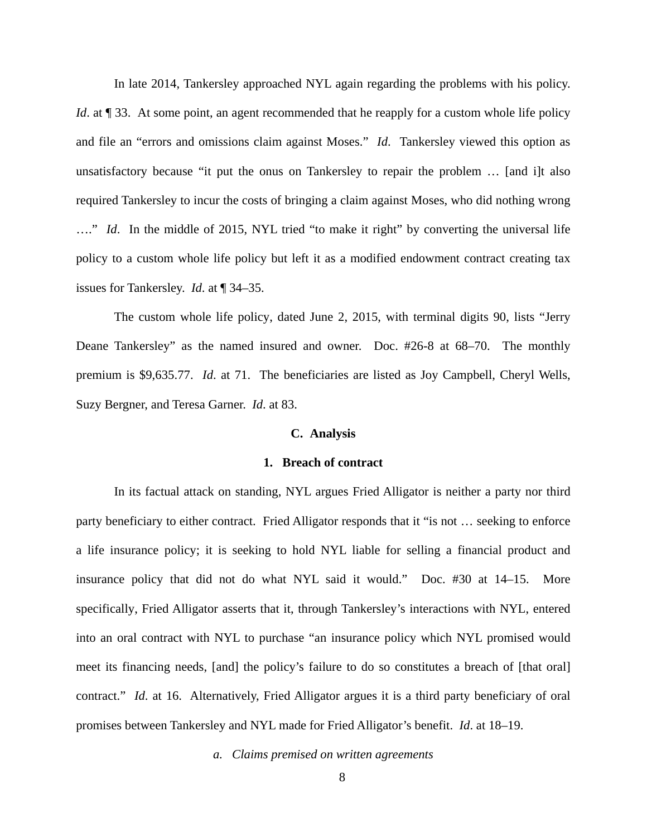In late 2014, Tankersley approached NYL again regarding the problems with his policy. *Id.* at ¶ 33. At some point, an agent recommended that he reapply for a custom whole life policy and file an "errors and omissions claim against Moses." *Id*. Tankersley viewed this option as unsatisfactory because "it put the onus on Tankersley to repair the problem … [and i]t also required Tankersley to incur the costs of bringing a claim against Moses, who did nothing wrong …." *Id*. In the middle of 2015, NYL tried "to make it right" by converting the universal life policy to a custom whole life policy but left it as a modified endowment contract creating tax issues for Tankersley. *Id*. at ¶ 34–35.

The custom whole life policy, dated June 2, 2015, with terminal digits 90, lists "Jerry Deane Tankersley" as the named insured and owner. Doc. #26-8 at 68–70. The monthly premium is \$9,635.77. *Id*. at 71. The beneficiaries are listed as Joy Campbell, Cheryl Wells, Suzy Bergner, and Teresa Garner. *Id*. at 83.

## **C. Analysis**

#### **1. Breach of contract**

In its factual attack on standing, NYL argues Fried Alligator is neither a party nor third party beneficiary to either contract. Fried Alligator responds that it "is not … seeking to enforce a life insurance policy; it is seeking to hold NYL liable for selling a financial product and insurance policy that did not do what NYL said it would." Doc. #30 at 14–15. More specifically, Fried Alligator asserts that it, through Tankersley's interactions with NYL, entered into an oral contract with NYL to purchase "an insurance policy which NYL promised would meet its financing needs, [and] the policy's failure to do so constitutes a breach of [that oral] contract." *Id*. at 16. Alternatively, Fried Alligator argues it is a third party beneficiary of oral promises between Tankersley and NYL made for Fried Alligator's benefit. *Id*. at 18–19.

*a. Claims premised on written agreements*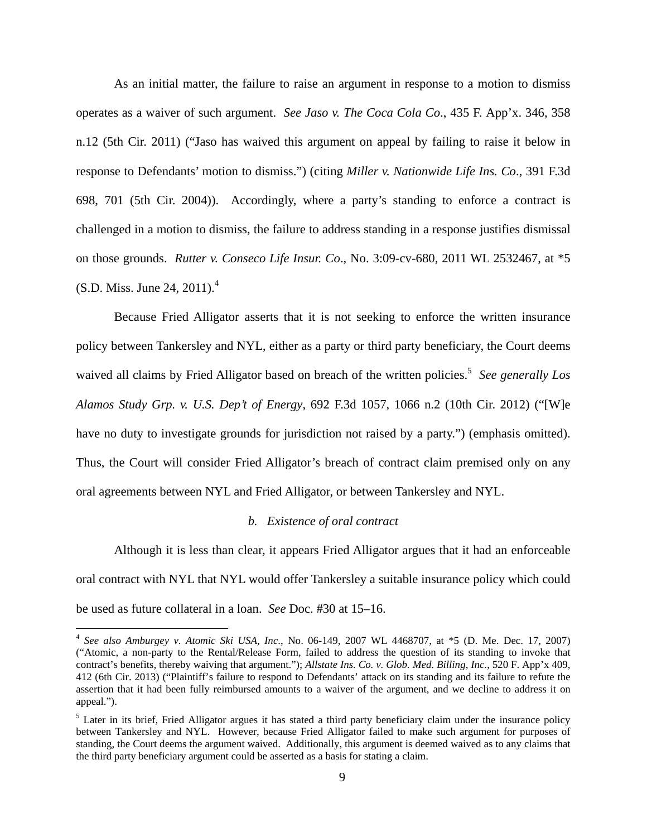As an initial matter, the failure to raise an argument in response to a motion to dismiss operates as a waiver of such argument. *See Jaso v. The Coca Cola Co*., 435 F. App'x. 346, 358 n.12 (5th Cir. 2011) ("Jaso has waived this argument on appeal by failing to raise it below in response to Defendants' motion to dismiss.") (citing *Miller v. Nationwide Life Ins. Co*., 391 F.3d 698, 701 (5th Cir. 2004)). Accordingly, where a party's standing to enforce a contract is challenged in a motion to dismiss, the failure to address standing in a response justifies dismissal on those grounds. *Rutter v. Conseco Life Insur. Co*., No. 3:09-cv-680, 2011 WL 2532467, at \*5  $(S.D. Miss. June 24, 2011).<sup>4</sup>$ 

Because Fried Alligator asserts that it is not seeking to enforce the written insurance policy between Tankersley and NYL, either as a party or third party beneficiary, the Court deems waived all claims by Fried Alligator based on breach of the written policies.<sup>5</sup> See generally Los *Alamos Study Grp. v. U.S. Dep't of Energy*, 692 F.3d 1057, 1066 n.2 (10th Cir. 2012) ("[W]e have no duty to investigate grounds for jurisdiction not raised by a party.") (emphasis omitted). Thus, the Court will consider Fried Alligator's breach of contract claim premised only on any oral agreements between NYL and Fried Alligator, or between Tankersley and NYL.

#### *b. Existence of oral contract*

 Although it is less than clear, it appears Fried Alligator argues that it had an enforceable oral contract with NYL that NYL would offer Tankersley a suitable insurance policy which could be used as future collateral in a loan. *See* Doc. #30 at 15–16.

 4 *See also Amburgey v. Atomic Ski USA, Inc*., No. 06-149, 2007 WL 4468707, at \*5 (D. Me. Dec. 17, 2007) ("Atomic, a non-party to the Rental/Release Form, failed to address the question of its standing to invoke that contract's benefits, thereby waiving that argument."); *Allstate Ins. Co. v. Glob. Med. Billing, Inc.*, 520 F. App'x 409, 412 (6th Cir. 2013) ("Plaintiff's failure to respond to Defendants' attack on its standing and its failure to refute the assertion that it had been fully reimbursed amounts to a waiver of the argument, and we decline to address it on appeal.").

<sup>&</sup>lt;sup>5</sup> Later in its brief, Fried Alligator argues it has stated a third party beneficiary claim under the insurance policy between Tankersley and NYL. However, because Fried Alligator failed to make such argument for purposes of standing, the Court deems the argument waived. Additionally, this argument is deemed waived as to any claims that the third party beneficiary argument could be asserted as a basis for stating a claim.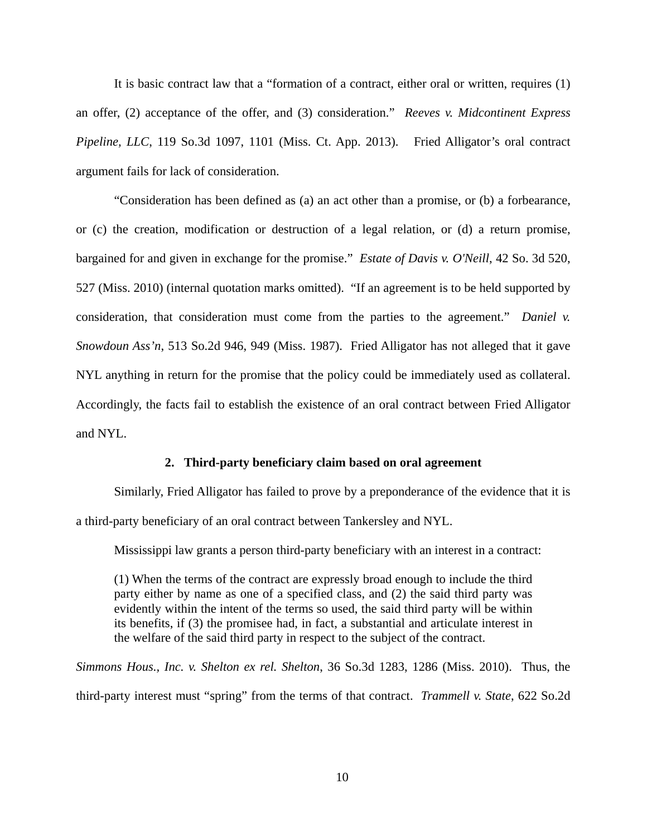It is basic contract law that a "formation of a contract, either oral or written, requires (1) an offer, (2) acceptance of the offer, and (3) consideration." *Reeves v. Midcontinent Express Pipeline, LLC*, 119 So.3d 1097, 1101 (Miss. Ct. App. 2013). Fried Alligator's oral contract argument fails for lack of consideration.

"Consideration has been defined as (a) an act other than a promise, or (b) a forbearance, or (c) the creation, modification or destruction of a legal relation, or (d) a return promise, bargained for and given in exchange for the promise." *Estate of Davis v. O'Neill*, 42 So. 3d 520, 527 (Miss. 2010) (internal quotation marks omitted). "If an agreement is to be held supported by consideration, that consideration must come from the parties to the agreement." *Daniel v. Snowdoun Ass'n*, 513 So.2d 946, 949 (Miss. 1987). Fried Alligator has not alleged that it gave NYL anything in return for the promise that the policy could be immediately used as collateral. Accordingly, the facts fail to establish the existence of an oral contract between Fried Alligator and NYL.

## **2. Third-party beneficiary claim based on oral agreement**

Similarly, Fried Alligator has failed to prove by a preponderance of the evidence that it is a third-party beneficiary of an oral contract between Tankersley and NYL.

Mississippi law grants a person third-party beneficiary with an interest in a contract:

(1) When the terms of the contract are expressly broad enough to include the third party either by name as one of a specified class, and (2) the said third party was evidently within the intent of the terms so used, the said third party will be within its benefits, if (3) the promisee had, in fact, a substantial and articulate interest in the welfare of the said third party in respect to the subject of the contract.

*Simmons Hous., Inc. v. Shelton ex rel. Shelton*, 36 So.3d 1283, 1286 (Miss. 2010). Thus, the third-party interest must "spring" from the terms of that contract. *Trammell v. State*, 622 So.2d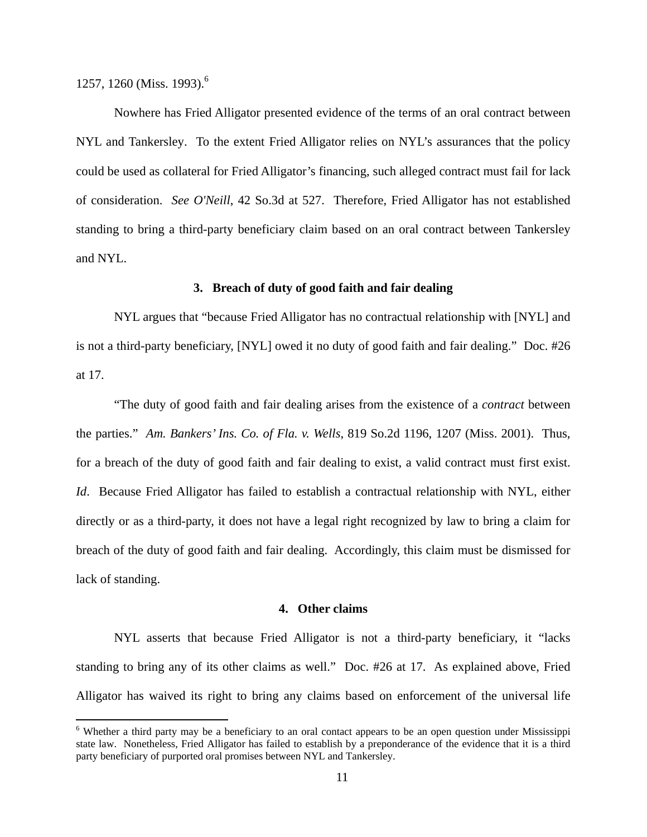1257, 1260 (Miss. 1993).<sup>6</sup>

<u>.</u>

Nowhere has Fried Alligator presented evidence of the terms of an oral contract between NYL and Tankersley. To the extent Fried Alligator relies on NYL's assurances that the policy could be used as collateral for Fried Alligator's financing, such alleged contract must fail for lack of consideration. *See O'Neill*, 42 So.3d at 527. Therefore, Fried Alligator has not established standing to bring a third-party beneficiary claim based on an oral contract between Tankersley and NYL.

## **3. Breach of duty of good faith and fair dealing**

NYL argues that "because Fried Alligator has no contractual relationship with [NYL] and is not a third-party beneficiary, [NYL] owed it no duty of good faith and fair dealing." Doc. #26 at 17.

"The duty of good faith and fair dealing arises from the existence of a *contract* between the parties." *Am. Bankers' Ins. Co. of Fla. v. Wells*, 819 So.2d 1196, 1207 (Miss. 2001). Thus, for a breach of the duty of good faith and fair dealing to exist, a valid contract must first exist. *Id*. Because Fried Alligator has failed to establish a contractual relationship with NYL, either directly or as a third-party, it does not have a legal right recognized by law to bring a claim for breach of the duty of good faith and fair dealing. Accordingly, this claim must be dismissed for lack of standing.

## **4. Other claims**

NYL asserts that because Fried Alligator is not a third-party beneficiary, it "lacks standing to bring any of its other claims as well." Doc. #26 at 17. As explained above, Fried Alligator has waived its right to bring any claims based on enforcement of the universal life

<sup>&</sup>lt;sup>6</sup> Whether a third party may be a beneficiary to an oral contact appears to be an open question under Mississippi state law. Nonetheless, Fried Alligator has failed to establish by a preponderance of the evidence that it is a third party beneficiary of purported oral promises between NYL and Tankersley.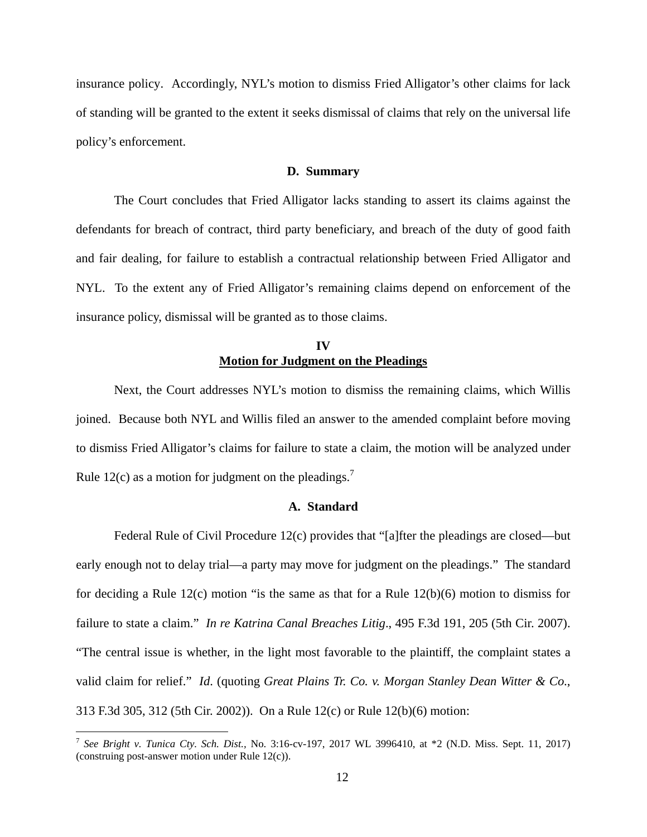insurance policy. Accordingly, NYL's motion to dismiss Fried Alligator's other claims for lack of standing will be granted to the extent it seeks dismissal of claims that rely on the universal life policy's enforcement.

## **D. Summary**

The Court concludes that Fried Alligator lacks standing to assert its claims against the defendants for breach of contract, third party beneficiary, and breach of the duty of good faith and fair dealing, for failure to establish a contractual relationship between Fried Alligator and NYL. To the extent any of Fried Alligator's remaining claims depend on enforcement of the insurance policy, dismissal will be granted as to those claims.

# **IV Motion for Judgment on the Pleadings**

Next, the Court addresses NYL's motion to dismiss the remaining claims, which Willis joined. Because both NYL and Willis filed an answer to the amended complaint before moving to dismiss Fried Alligator's claims for failure to state a claim, the motion will be analyzed under Rule 12(c) as a motion for judgment on the pleadings.<sup>7</sup>

## **A. Standard**

Federal Rule of Civil Procedure 12(c) provides that "[a]fter the pleadings are closed—but early enough not to delay trial—a party may move for judgment on the pleadings." The standard for deciding a Rule 12(c) motion "is the same as that for a Rule 12(b)(6) motion to dismiss for failure to state a claim." *In re Katrina Canal Breaches Litig*., 495 F.3d 191, 205 (5th Cir. 2007). "The central issue is whether, in the light most favorable to the plaintiff, the complaint states a valid claim for relief." *Id*. (quoting *Great Plains Tr. Co. v. Morgan Stanley Dean Witter & Co*., 313 F.3d 305, 312 (5th Cir. 2002)). On a Rule 12(c) or Rule 12(b)(6) motion:

 7 *See Bright v. Tunica Cty. Sch. Dist.,* No. 3:16-cv-197, 2017 WL 3996410, at \*2 (N.D. Miss. Sept. 11, 2017) (construing post-answer motion under Rule 12(c)).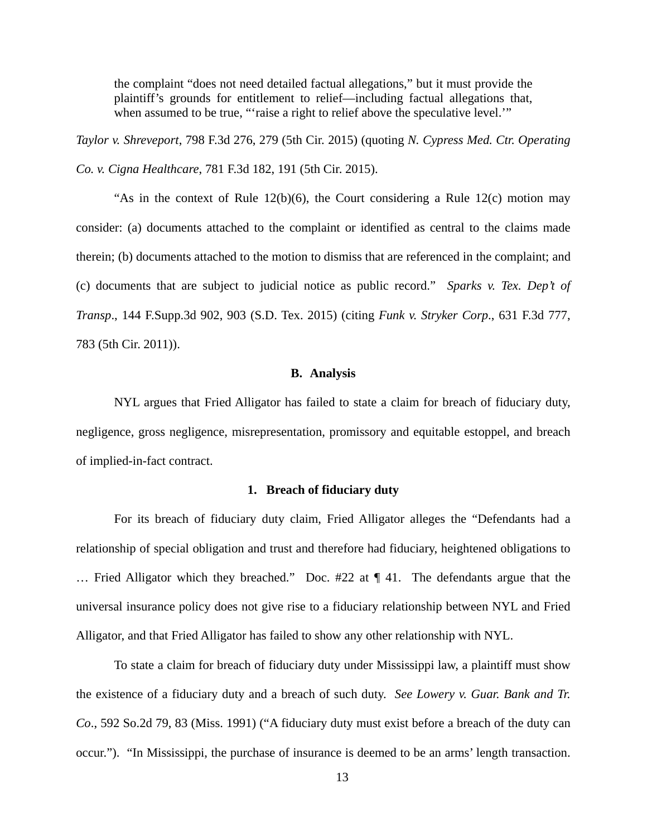the complaint "does not need detailed factual allegations," but it must provide the plaintiff's grounds for entitlement to relief—including factual allegations that, when assumed to be true, "'raise a right to relief above the speculative level.'"

*Taylor v. Shreveport*, 798 F.3d 276, 279 (5th Cir. 2015) (quoting *N. Cypress Med. Ctr. Operating Co. v. Cigna Healthcare*, 781 F.3d 182, 191 (5th Cir. 2015).

"As in the context of Rule  $12(b)(6)$ , the Court considering a Rule  $12(c)$  motion may consider: (a) documents attached to the complaint or identified as central to the claims made therein; (b) documents attached to the motion to dismiss that are referenced in the complaint; and (c) documents that are subject to judicial notice as public record." *Sparks v. Tex. Dep't of Transp*., 144 F.Supp.3d 902, 903 (S.D. Tex. 2015) (citing *Funk v. Stryker Corp*., 631 F.3d 777, 783 (5th Cir. 2011)).

## **B. Analysis**

NYL argues that Fried Alligator has failed to state a claim for breach of fiduciary duty, negligence, gross negligence, misrepresentation, promissory and equitable estoppel, and breach of implied-in-fact contract.

## **1. Breach of fiduciary duty**

For its breach of fiduciary duty claim, Fried Alligator alleges the "Defendants had a relationship of special obligation and trust and therefore had fiduciary, heightened obligations to … Fried Alligator which they breached." Doc. #22 at ¶ 41. The defendants argue that the universal insurance policy does not give rise to a fiduciary relationship between NYL and Fried Alligator, and that Fried Alligator has failed to show any other relationship with NYL.

To state a claim for breach of fiduciary duty under Mississippi law, a plaintiff must show the existence of a fiduciary duty and a breach of such duty. *See Lowery v. Guar. Bank and Tr. Co*., 592 So.2d 79, 83 (Miss. 1991) ("A fiduciary duty must exist before a breach of the duty can occur."). "In Mississippi, the purchase of insurance is deemed to be an arms' length transaction.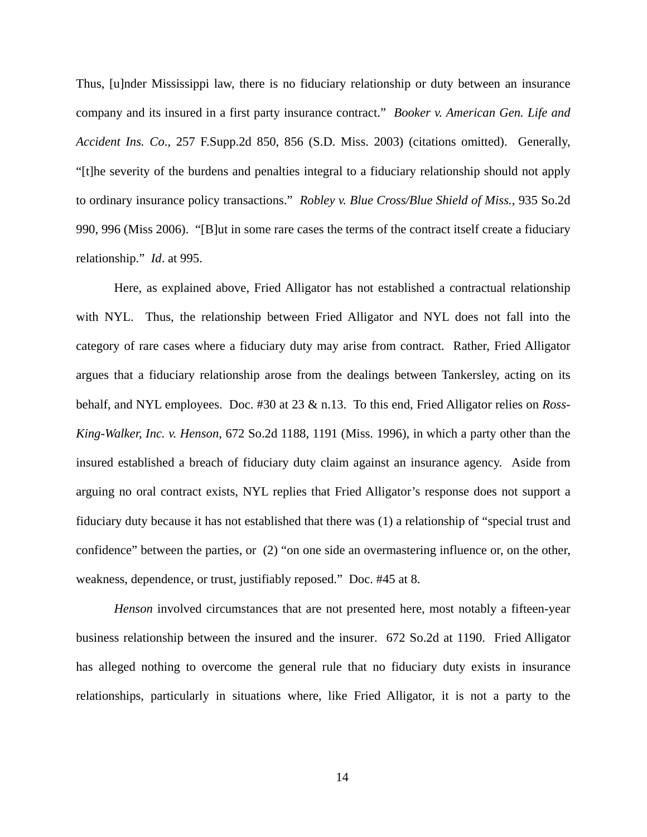Thus, [u]nder Mississippi law, there is no fiduciary relationship or duty between an insurance company and its insured in a first party insurance contract." *Booker v. American Gen. Life and Accident Ins. Co*., 257 F.Supp.2d 850, 856 (S.D. Miss. 2003) (citations omitted). Generally, "[t]he severity of the burdens and penalties integral to a fiduciary relationship should not apply to ordinary insurance policy transactions." *Robley v. Blue Cross/Blue Shield of Miss.*, 935 So.2d 990, 996 (Miss 2006). "[B]ut in some rare cases the terms of the contract itself create a fiduciary relationship." *Id*. at 995.

Here, as explained above, Fried Alligator has not established a contractual relationship with NYL. Thus, the relationship between Fried Alligator and NYL does not fall into the category of rare cases where a fiduciary duty may arise from contract. Rather, Fried Alligator argues that a fiduciary relationship arose from the dealings between Tankersley, acting on its behalf, and NYL employees. Doc. #30 at 23 & n.13. To this end, Fried Alligator relies on *Ross-King-Walker, Inc. v. Henson*, 672 So.2d 1188, 1191 (Miss. 1996), in which a party other than the insured established a breach of fiduciary duty claim against an insurance agency. Aside from arguing no oral contract exists, NYL replies that Fried Alligator's response does not support a fiduciary duty because it has not established that there was (1) a relationship of "special trust and confidence" between the parties, or (2) "on one side an overmastering influence or, on the other, weakness, dependence, or trust, justifiably reposed." Doc. #45 at 8.

*Henson* involved circumstances that are not presented here, most notably a fifteen-year business relationship between the insured and the insurer. 672 So.2d at 1190. Fried Alligator has alleged nothing to overcome the general rule that no fiduciary duty exists in insurance relationships, particularly in situations where, like Fried Alligator, it is not a party to the

14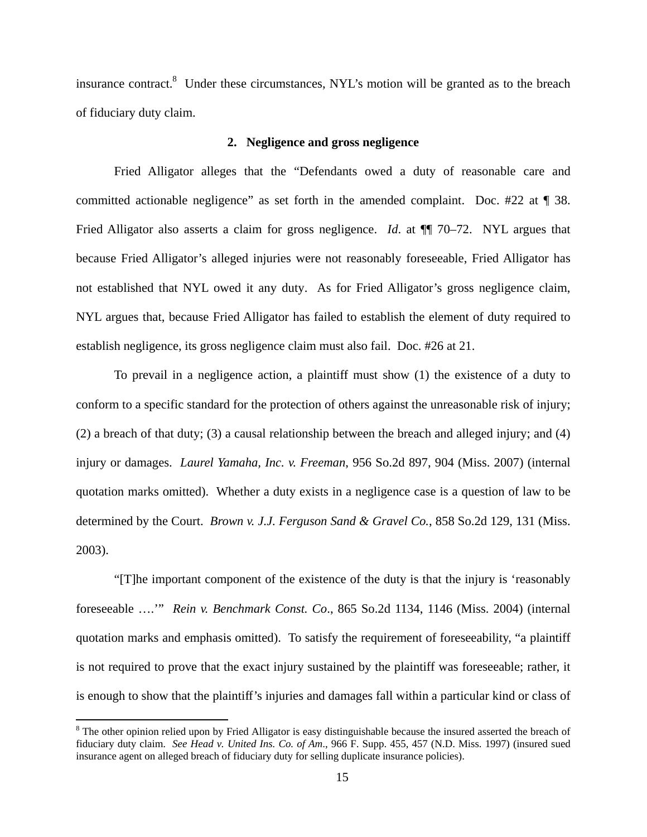insurance contract.<sup>8</sup> Under these circumstances, NYL's motion will be granted as to the breach of fiduciary duty claim.

## **2. Negligence and gross negligence**

Fried Alligator alleges that the "Defendants owed a duty of reasonable care and committed actionable negligence" as set forth in the amended complaint. Doc. #22 at ¶ 38. Fried Alligator also asserts a claim for gross negligence. *Id.* at  $\P$  70–72. NYL argues that because Fried Alligator's alleged injuries were not reasonably foreseeable, Fried Alligator has not established that NYL owed it any duty. As for Fried Alligator's gross negligence claim, NYL argues that, because Fried Alligator has failed to establish the element of duty required to establish negligence, its gross negligence claim must also fail. Doc. #26 at 21.

To prevail in a negligence action, a plaintiff must show (1) the existence of a duty to conform to a specific standard for the protection of others against the unreasonable risk of injury; (2) a breach of that duty; (3) a causal relationship between the breach and alleged injury; and (4) injury or damages. *Laurel Yamaha, Inc. v. Freeman*, 956 So.2d 897, 904 (Miss. 2007) (internal quotation marks omitted). Whether a duty exists in a negligence case is a question of law to be determined by the Court. *Brown v. J.J. Ferguson Sand & Gravel Co.*, 858 So.2d 129, 131 (Miss. 2003).

"[T]he important component of the existence of the duty is that the injury is 'reasonably foreseeable ….'" *Rein v. Benchmark Const. Co*., 865 So.2d 1134, 1146 (Miss. 2004) (internal quotation marks and emphasis omitted). To satisfy the requirement of foreseeability, "a plaintiff is not required to prove that the exact injury sustained by the plaintiff was foreseeable; rather, it is enough to show that the plaintiff's injuries and damages fall within a particular kind or class of

<u>.</u>

 $8$  The other opinion relied upon by Fried Alligator is easy distinguishable because the insured asserted the breach of fiduciary duty claim. *See Head v. United Ins. Co. of Am*., 966 F. Supp. 455, 457 (N.D. Miss. 1997) (insured sued insurance agent on alleged breach of fiduciary duty for selling duplicate insurance policies).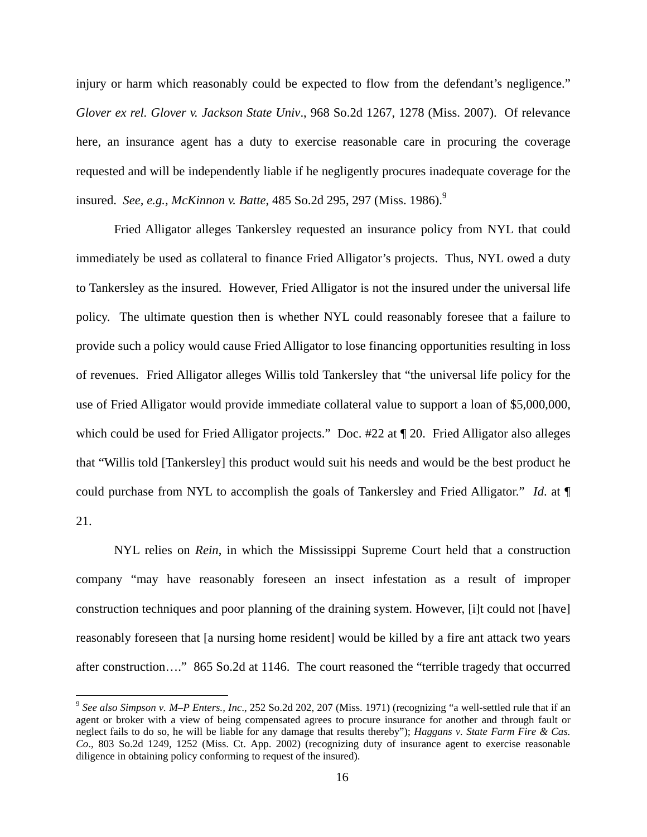injury or harm which reasonably could be expected to flow from the defendant's negligence." *Glover ex rel. Glover v. Jackson State Univ*., 968 So.2d 1267, 1278 (Miss. 2007). Of relevance here, an insurance agent has a duty to exercise reasonable care in procuring the coverage requested and will be independently liable if he negligently procures inadequate coverage for the insured. *See, e.g., McKinnon v. Batte*, 485 So.2d 295, 297 (Miss. 1986).<sup>9</sup>

Fried Alligator alleges Tankersley requested an insurance policy from NYL that could immediately be used as collateral to finance Fried Alligator's projects. Thus, NYL owed a duty to Tankersley as the insured. However, Fried Alligator is not the insured under the universal life policy. The ultimate question then is whether NYL could reasonably foresee that a failure to provide such a policy would cause Fried Alligator to lose financing opportunities resulting in loss of revenues. Fried Alligator alleges Willis told Tankersley that "the universal life policy for the use of Fried Alligator would provide immediate collateral value to support a loan of \$5,000,000, which could be used for Fried Alligator projects." Doc. #22 at  $\P$  20. Fried Alligator also alleges that "Willis told [Tankersley] this product would suit his needs and would be the best product he could purchase from NYL to accomplish the goals of Tankersley and Fried Alligator." *Id*. at ¶ 21.

NYL relies on *Rein*, in which the Mississippi Supreme Court held that a construction company "may have reasonably foreseen an insect infestation as a result of improper construction techniques and poor planning of the draining system. However, [i]t could not [have] reasonably foreseen that [a nursing home resident] would be killed by a fire ant attack two years after construction…." 865 So.2d at 1146. The court reasoned the "terrible tragedy that occurred

<sup>9</sup> *See also Simpson v. M–P Enters., Inc*., 252 So.2d 202, 207 (Miss. 1971) (recognizing "a well-settled rule that if an agent or broker with a view of being compensated agrees to procure insurance for another and through fault or neglect fails to do so, he will be liable for any damage that results thereby"); *Haggans v. State Farm Fire & Cas. Co*., 803 So.2d 1249, 1252 (Miss. Ct. App. 2002) (recognizing duty of insurance agent to exercise reasonable diligence in obtaining policy conforming to request of the insured).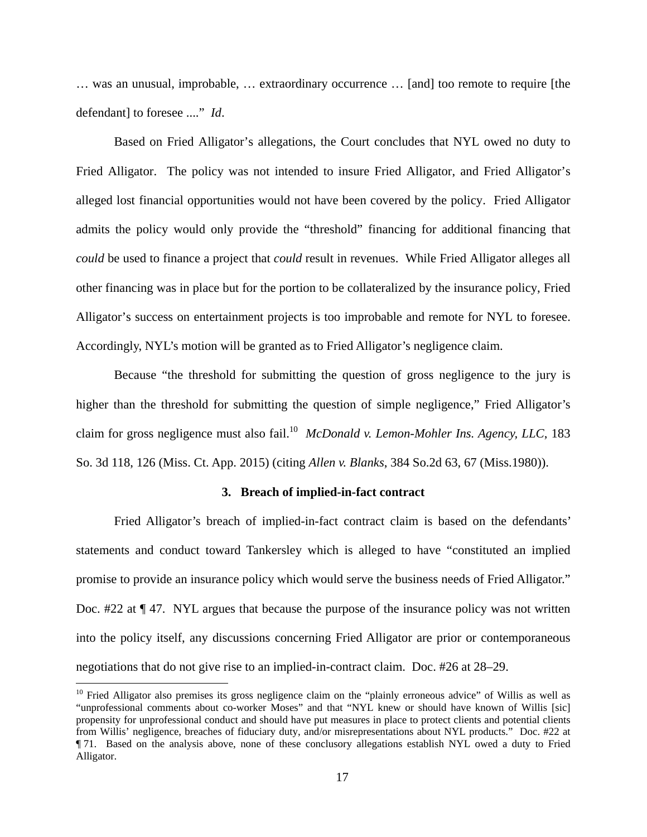… was an unusual, improbable, … extraordinary occurrence … [and] too remote to require [the defendant] to foresee ...." *Id*.

Based on Fried Alligator's allegations, the Court concludes that NYL owed no duty to Fried Alligator. The policy was not intended to insure Fried Alligator, and Fried Alligator's alleged lost financial opportunities would not have been covered by the policy. Fried Alligator admits the policy would only provide the "threshold" financing for additional financing that *could* be used to finance a project that *could* result in revenues. While Fried Alligator alleges all other financing was in place but for the portion to be collateralized by the insurance policy, Fried Alligator's success on entertainment projects is too improbable and remote for NYL to foresee. Accordingly, NYL's motion will be granted as to Fried Alligator's negligence claim.

Because "the threshold for submitting the question of gross negligence to the jury is higher than the threshold for submitting the question of simple negligence," Fried Alligator's claim for gross negligence must also fail.<sup>10</sup> *McDonald v. Lemon-Mohler Ins. Agency, LLC*, 183 So. 3d 118, 126 (Miss. Ct. App. 2015) (citing *Allen v. Blanks*, 384 So.2d 63, 67 (Miss.1980)).

## **3. Breach of implied-in-fact contract**

Fried Alligator's breach of implied-in-fact contract claim is based on the defendants' statements and conduct toward Tankersley which is alleged to have "constituted an implied promise to provide an insurance policy which would serve the business needs of Fried Alligator." Doc. #22 at ¶ 47. NYL argues that because the purpose of the insurance policy was not written into the policy itself, any discussions concerning Fried Alligator are prior or contemporaneous negotiations that do not give rise to an implied-in-contract claim. Doc. #26 at 28–29.

<u>.</u>

<sup>&</sup>lt;sup>10</sup> Fried Alligator also premises its gross negligence claim on the "plainly erroneous advice" of Willis as well as "unprofessional comments about co-worker Moses" and that "NYL knew or should have known of Willis [sic] propensity for unprofessional conduct and should have put measures in place to protect clients and potential clients from Willis' negligence, breaches of fiduciary duty, and/or misrepresentations about NYL products." Doc. #22 at ¶ 71. Based on the analysis above, none of these conclusory allegations establish NYL owed a duty to Fried Alligator.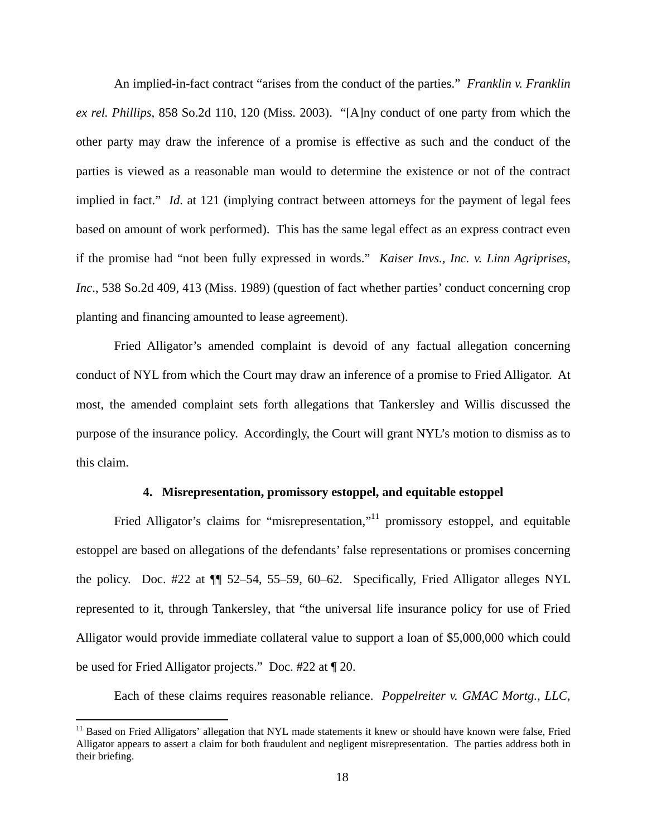An implied-in-fact contract "arises from the conduct of the parties." *Franklin v. Franklin ex rel. Phillips*, 858 So.2d 110, 120 (Miss. 2003). "[A]ny conduct of one party from which the other party may draw the inference of a promise is effective as such and the conduct of the parties is viewed as a reasonable man would to determine the existence or not of the contract implied in fact." *Id*. at 121 (implying contract between attorneys for the payment of legal fees based on amount of work performed). This has the same legal effect as an express contract even if the promise had "not been fully expressed in words." *Kaiser Invs., Inc. v. Linn Agriprises, Inc*., 538 So.2d 409, 413 (Miss. 1989) (question of fact whether parties' conduct concerning crop planting and financing amounted to lease agreement).

Fried Alligator's amended complaint is devoid of any factual allegation concerning conduct of NYL from which the Court may draw an inference of a promise to Fried Alligator. At most, the amended complaint sets forth allegations that Tankersley and Willis discussed the purpose of the insurance policy. Accordingly, the Court will grant NYL's motion to dismiss as to this claim.

## **4. Misrepresentation, promissory estoppel, and equitable estoppel**

Fried Alligator's claims for "misrepresentation,"<sup>11</sup> promissory estoppel, and equitable estoppel are based on allegations of the defendants' false representations or promises concerning the policy. Doc. #22 at ¶¶ 52–54, 55–59, 60–62. Specifically, Fried Alligator alleges NYL represented to it, through Tankersley, that "the universal life insurance policy for use of Fried Alligator would provide immediate collateral value to support a loan of \$5,000,000 which could be used for Fried Alligator projects." Doc. #22 at ¶ 20.

Each of these claims requires reasonable reliance. *Poppelreiter v. GMAC Mortg., LLC*,

<sup>&</sup>lt;sup>11</sup> Based on Fried Alligators' allegation that NYL made statements it knew or should have known were false, Fried Alligator appears to assert a claim for both fraudulent and negligent misrepresentation. The parties address both in their briefing.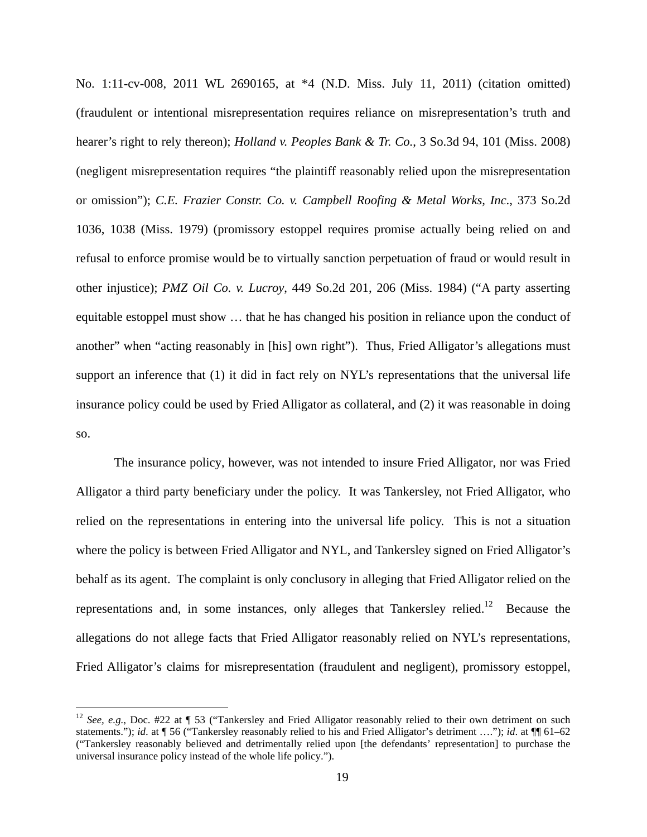No. 1:11-cv-008, 2011 WL 2690165, at \*4 (N.D. Miss. July 11, 2011) (citation omitted) (fraudulent or intentional misrepresentation requires reliance on misrepresentation's truth and hearer's right to rely thereon); *Holland v. Peoples Bank & Tr. Co.*, 3 So.3d 94, 101 (Miss. 2008) (negligent misrepresentation requires "the plaintiff reasonably relied upon the misrepresentation or omission"); *C.E. Frazier Constr. Co. v. Campbell Roofing & Metal Works, Inc*., 373 So.2d 1036, 1038 (Miss. 1979) (promissory estoppel requires promise actually being relied on and refusal to enforce promise would be to virtually sanction perpetuation of fraud or would result in other injustice); *PMZ Oil Co. v. Lucroy*, 449 So.2d 201, 206 (Miss. 1984) ("A party asserting equitable estoppel must show … that he has changed his position in reliance upon the conduct of another" when "acting reasonably in [his] own right"). Thus, Fried Alligator's allegations must support an inference that (1) it did in fact rely on NYL's representations that the universal life insurance policy could be used by Fried Alligator as collateral, and (2) it was reasonable in doing so.

The insurance policy, however, was not intended to insure Fried Alligator, nor was Fried Alligator a third party beneficiary under the policy. It was Tankersley, not Fried Alligator, who relied on the representations in entering into the universal life policy. This is not a situation where the policy is between Fried Alligator and NYL, and Tankersley signed on Fried Alligator's behalf as its agent. The complaint is only conclusory in alleging that Fried Alligator relied on the representations and, in some instances, only alleges that Tankersley relied.<sup>12</sup> Because the allegations do not allege facts that Fried Alligator reasonably relied on NYL's representations, Fried Alligator's claims for misrepresentation (fraudulent and negligent), promissory estoppel,

<sup>&</sup>lt;sup>12</sup> *See, e.g.*, Doc. #22 at ¶ 53 ("Tankersley and Fried Alligator reasonably relied to their own detriment on such statements."); *id*. at ¶ 56 ("Tankersley reasonably relied to his and Fried Alligator's detriment …."); *id*. at ¶¶ 61–62 ("Tankersley reasonably believed and detrimentally relied upon [the defendants' representation] to purchase the universal insurance policy instead of the whole life policy.").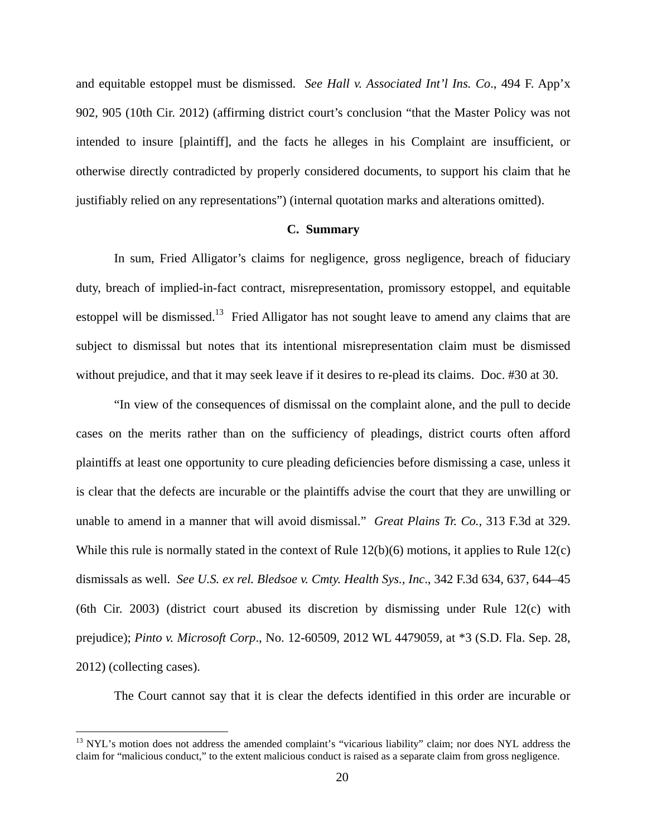and equitable estoppel must be dismissed. *See Hall v. Associated Int'l Ins. Co*., 494 F. App'x 902, 905 (10th Cir. 2012) (affirming district court's conclusion "that the Master Policy was not intended to insure [plaintiff], and the facts he alleges in his Complaint are insufficient, or otherwise directly contradicted by properly considered documents, to support his claim that he justifiably relied on any representations") (internal quotation marks and alterations omitted).

## **C. Summary**

In sum, Fried Alligator's claims for negligence, gross negligence, breach of fiduciary duty, breach of implied-in-fact contract, misrepresentation, promissory estoppel, and equitable estoppel will be dismissed.<sup>13</sup> Fried Alligator has not sought leave to amend any claims that are subject to dismissal but notes that its intentional misrepresentation claim must be dismissed without prejudice, and that it may seek leave if it desires to re-plead its claims. Doc. #30 at 30.

"In view of the consequences of dismissal on the complaint alone, and the pull to decide cases on the merits rather than on the sufficiency of pleadings, district courts often afford plaintiffs at least one opportunity to cure pleading deficiencies before dismissing a case, unless it is clear that the defects are incurable or the plaintiffs advise the court that they are unwilling or unable to amend in a manner that will avoid dismissal." *Great Plains Tr. Co.*, 313 F.3d at 329. While this rule is normally stated in the context of Rule  $12(b)(6)$  motions, it applies to Rule  $12(c)$ dismissals as well. *See U.S. ex rel. Bledsoe v. Cmty. Health Sys., Inc*., 342 F.3d 634, 637, 644–45 (6th Cir. 2003) (district court abused its discretion by dismissing under Rule 12(c) with prejudice); *Pinto v. Microsoft Corp*., No. 12-60509, 2012 WL 4479059, at \*3 (S.D. Fla. Sep. 28, 2012) (collecting cases).

The Court cannot say that it is clear the defects identified in this order are incurable or

<sup>&</sup>lt;sup>13</sup> NYL's motion does not address the amended complaint's "vicarious liability" claim; nor does NYL address the claim for "malicious conduct," to the extent malicious conduct is raised as a separate claim from gross negligence.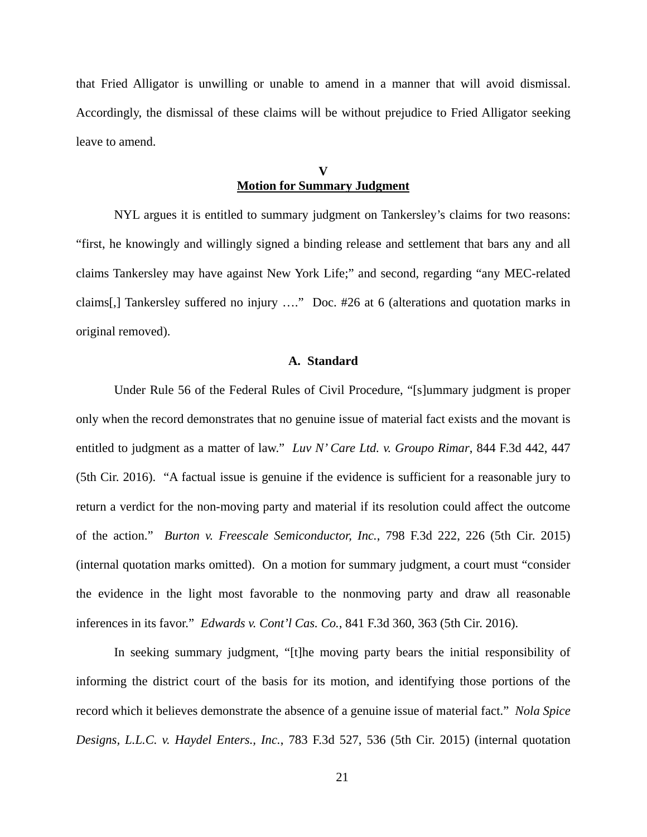that Fried Alligator is unwilling or unable to amend in a manner that will avoid dismissal. Accordingly, the dismissal of these claims will be without prejudice to Fried Alligator seeking leave to amend.

# **V Motion for Summary Judgment**

NYL argues it is entitled to summary judgment on Tankersley's claims for two reasons: "first, he knowingly and willingly signed a binding release and settlement that bars any and all claims Tankersley may have against New York Life;" and second, regarding "any MEC-related claims[,] Tankersley suffered no injury …." Doc. #26 at 6 (alterations and quotation marks in original removed).

## **A. Standard**

Under Rule 56 of the Federal Rules of Civil Procedure, "[s]ummary judgment is proper only when the record demonstrates that no genuine issue of material fact exists and the movant is entitled to judgment as a matter of law." *Luv N' Care Ltd. v. Groupo Rimar*, 844 F.3d 442, 447 (5th Cir. 2016). "A factual issue is genuine if the evidence is sufficient for a reasonable jury to return a verdict for the non-moving party and material if its resolution could affect the outcome of the action." *Burton v. Freescale Semiconductor, Inc.*, 798 F.3d 222, 226 (5th Cir. 2015) (internal quotation marks omitted). On a motion for summary judgment, a court must "consider the evidence in the light most favorable to the nonmoving party and draw all reasonable inferences in its favor." *Edwards v. Cont'l Cas. Co.*, 841 F.3d 360, 363 (5th Cir. 2016).

In seeking summary judgment, "[t]he moving party bears the initial responsibility of informing the district court of the basis for its motion, and identifying those portions of the record which it believes demonstrate the absence of a genuine issue of material fact." *Nola Spice Designs, L.L.C. v. Haydel Enters., Inc.*, 783 F.3d 527, 536 (5th Cir. 2015) (internal quotation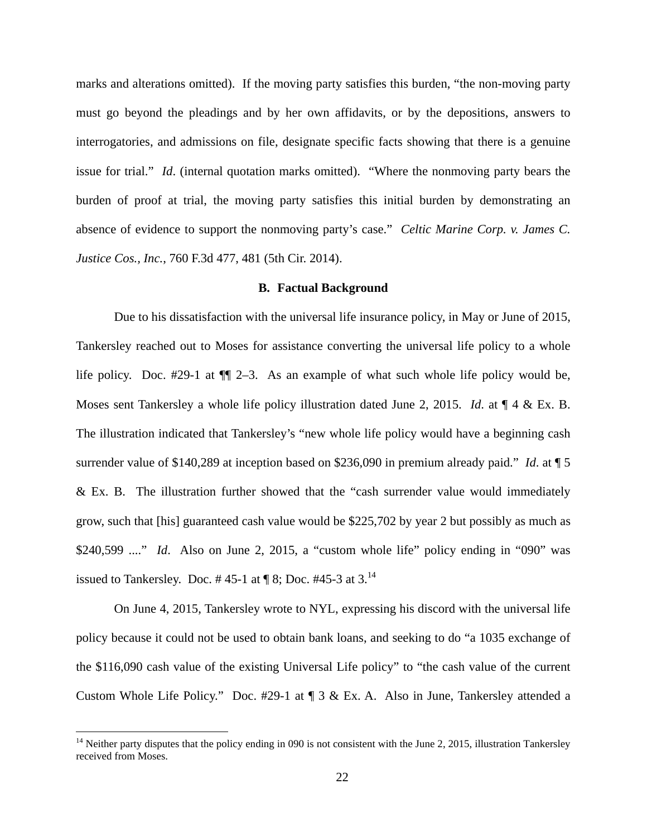marks and alterations omitted). If the moving party satisfies this burden, "the non-moving party must go beyond the pleadings and by her own affidavits, or by the depositions, answers to interrogatories, and admissions on file, designate specific facts showing that there is a genuine issue for trial." *Id*. (internal quotation marks omitted). "Where the nonmoving party bears the burden of proof at trial, the moving party satisfies this initial burden by demonstrating an absence of evidence to support the nonmoving party's case." *Celtic Marine Corp. v. James C. Justice Cos., Inc.*, 760 F.3d 477, 481 (5th Cir. 2014).

## **B. Factual Background**

Due to his dissatisfaction with the universal life insurance policy, in May or June of 2015, Tankersley reached out to Moses for assistance converting the universal life policy to a whole life policy. Doc. #29-1 at ¶¶ 2–3. As an example of what such whole life policy would be, Moses sent Tankersley a whole life policy illustration dated June 2, 2015. *Id*. at ¶ 4 & Ex. B. The illustration indicated that Tankersley's "new whole life policy would have a beginning cash surrender value of \$140,289 at inception based on \$236,090 in premium already paid." *Id*. at ¶ 5 & Ex. B. The illustration further showed that the "cash surrender value would immediately grow, such that [his] guaranteed cash value would be \$225,702 by year 2 but possibly as much as \$240,599 ...." *Id*. Also on June 2, 2015, a "custom whole life" policy ending in "090" was issued to Tankersley. Doc. #45-1 at  $\P$ 8; Doc. #45-3 at 3.<sup>14</sup>

On June 4, 2015, Tankersley wrote to NYL, expressing his discord with the universal life policy because it could not be used to obtain bank loans, and seeking to do "a 1035 exchange of the \$116,090 cash value of the existing Universal Life policy" to "the cash value of the current Custom Whole Life Policy." Doc. #29-1 at ¶ 3 & Ex. A. Also in June, Tankersley attended a

<u>.</u>

 $14$  Neither party disputes that the policy ending in 090 is not consistent with the June 2, 2015, illustration Tankersley received from Moses.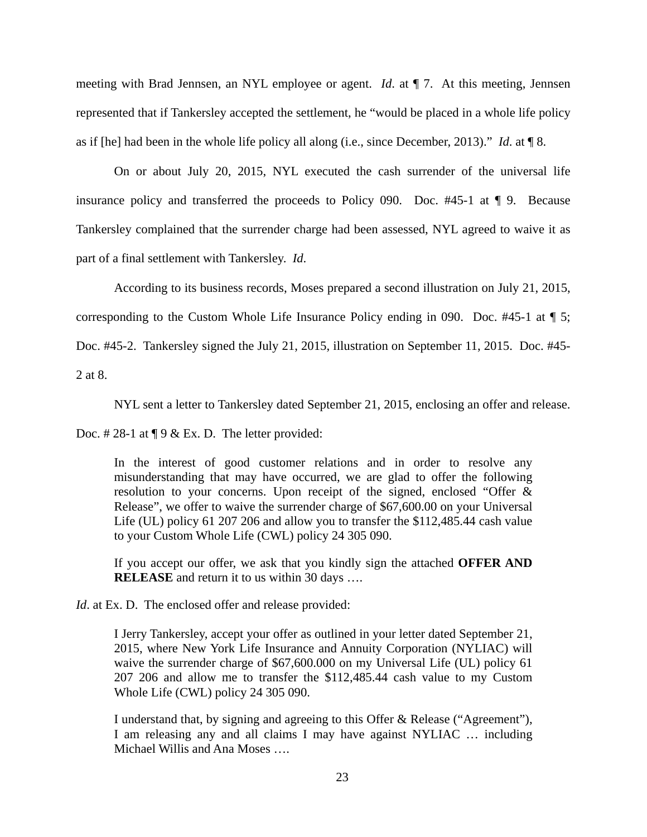meeting with Brad Jennsen, an NYL employee or agent. *Id*. at ¶ 7. At this meeting, Jennsen represented that if Tankersley accepted the settlement, he "would be placed in a whole life policy as if [he] had been in the whole life policy all along (i.e., since December, 2013)." *Id*. at ¶ 8.

On or about July 20, 2015, NYL executed the cash surrender of the universal life insurance policy and transferred the proceeds to Policy 090. Doc. #45-1 at ¶ 9. Because Tankersley complained that the surrender charge had been assessed, NYL agreed to waive it as part of a final settlement with Tankersley. *Id*.

According to its business records, Moses prepared a second illustration on July 21, 2015,

corresponding to the Custom Whole Life Insurance Policy ending in 090. Doc. #45-1 at ¶ 5;

Doc. #45-2. Tankersley signed the July 21, 2015, illustration on September 11, 2015. Doc. #45-

2 at 8.

NYL sent a letter to Tankersley dated September 21, 2015, enclosing an offer and release.

Doc. #28-1 at  $\P$  9 & Ex. D. The letter provided:

In the interest of good customer relations and in order to resolve any misunderstanding that may have occurred, we are glad to offer the following resolution to your concerns. Upon receipt of the signed, enclosed "Offer & Release", we offer to waive the surrender charge of \$67,600.00 on your Universal Life (UL) policy 61 207 206 and allow you to transfer the \$112,485.44 cash value to your Custom Whole Life (CWL) policy 24 305 090.

If you accept our offer, we ask that you kindly sign the attached **OFFER AND RELEASE** and return it to us within 30 days ….

*Id*. at Ex. D. The enclosed offer and release provided:

I Jerry Tankersley, accept your offer as outlined in your letter dated September 21, 2015, where New York Life Insurance and Annuity Corporation (NYLIAC) will waive the surrender charge of \$67,600.000 on my Universal Life (UL) policy 61 207 206 and allow me to transfer the \$112,485.44 cash value to my Custom Whole Life (CWL) policy 24 305 090.

I understand that, by signing and agreeing to this Offer & Release ("Agreement"), I am releasing any and all claims I may have against NYLIAC … including Michael Willis and Ana Moses ….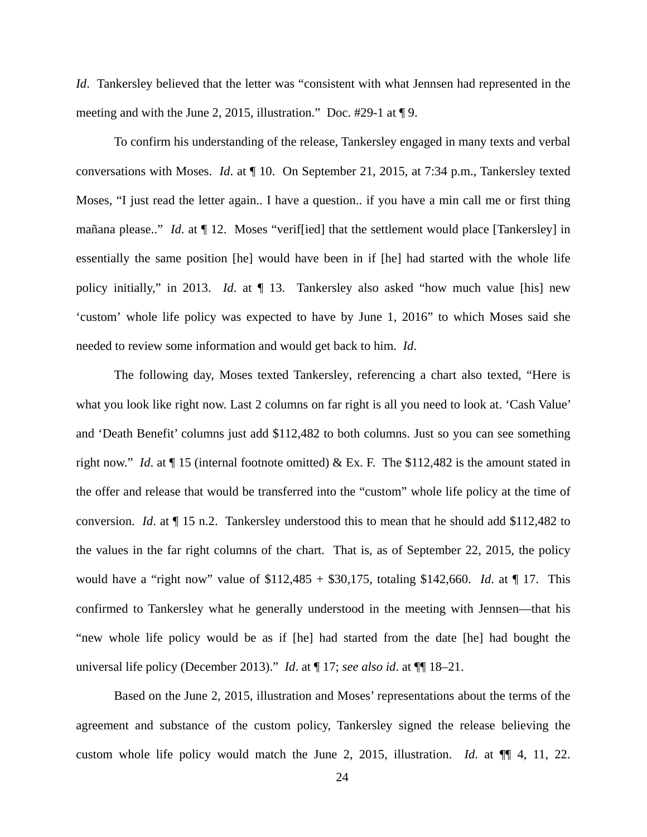*Id*. Tankersley believed that the letter was "consistent with what Jennsen had represented in the meeting and with the June 2, 2015, illustration." Doc. #29-1 at ¶ 9.

To confirm his understanding of the release, Tankersley engaged in many texts and verbal conversations with Moses. *Id*. at ¶ 10. On September 21, 2015, at 7:34 p.m., Tankersley texted Moses, "I just read the letter again.. I have a question.. if you have a min call me or first thing mañana please.." *Id*. at ¶ 12. Moses "verif[ied] that the settlement would place [Tankersley] in essentially the same position [he] would have been in if [he] had started with the whole life policy initially," in 2013. *Id*. at ¶ 13. Tankersley also asked "how much value [his] new 'custom' whole life policy was expected to have by June 1, 2016" to which Moses said she needed to review some information and would get back to him. *Id*.

The following day, Moses texted Tankersley, referencing a chart also texted, "Here is what you look like right now. Last 2 columns on far right is all you need to look at. 'Cash Value' and 'Death Benefit' columns just add \$112,482 to both columns. Just so you can see something right now." *Id*. at ¶ 15 (internal footnote omitted) & Ex. F. The \$112,482 is the amount stated in the offer and release that would be transferred into the "custom" whole life policy at the time of conversion. *Id*. at ¶ 15 n.2. Tankersley understood this to mean that he should add \$112,482 to the values in the far right columns of the chart. That is, as of September 22, 2015, the policy would have a "right now" value of \$112,485 + \$30,175, totaling \$142,660. *Id*. at ¶ 17. This confirmed to Tankersley what he generally understood in the meeting with Jennsen—that his "new whole life policy would be as if [he] had started from the date [he] had bought the universal life policy (December 2013)." *Id*. at ¶ 17; *see also id*. at ¶¶ 18–21.

Based on the June 2, 2015, illustration and Moses' representations about the terms of the agreement and substance of the custom policy, Tankersley signed the release believing the custom whole life policy would match the June 2, 2015, illustration. *Id*. at ¶¶ 4, 11, 22.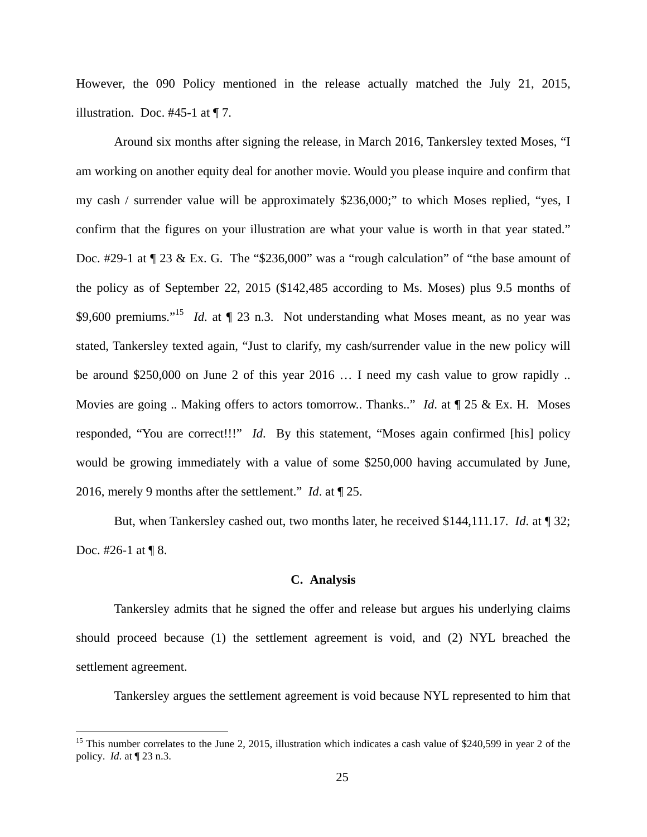However, the 090 Policy mentioned in the release actually matched the July 21, 2015, illustration. Doc.  $#45-1$  at  $\P$  7.

Around six months after signing the release, in March 2016, Tankersley texted Moses, "I am working on another equity deal for another movie. Would you please inquire and confirm that my cash / surrender value will be approximately \$236,000;" to which Moses replied, "yes, I confirm that the figures on your illustration are what your value is worth in that year stated." Doc. #29-1 at  $\P$  23 & Ex. G. The "\$236,000" was a "rough calculation" of "the base amount of the policy as of September 22, 2015 (\$142,485 according to Ms. Moses) plus 9.5 months of \$9,600 premiums."<sup>15</sup> *Id.* at  $\llbracket 23 \text{ n.3}$ . Not understanding what Moses meant, as no year was stated, Tankersley texted again, "Just to clarify, my cash/surrender value in the new policy will be around \$250,000 on June 2 of this year 2016 … I need my cash value to grow rapidly .. Movies are going .. Making offers to actors tomorrow.. Thanks.." *Id*. at ¶ 25 & Ex. H. Moses responded, "You are correct!!!" *Id*. By this statement, "Moses again confirmed [his] policy would be growing immediately with a value of some \$250,000 having accumulated by June, 2016, merely 9 months after the settlement." *Id*. at ¶ 25.

But, when Tankersley cashed out, two months later, he received \$144,111.17. *Id*. at ¶ 32; Doc. #26-1 at ¶ 8.

## **C. Analysis**

Tankersley admits that he signed the offer and release but argues his underlying claims should proceed because (1) the settlement agreement is void, and (2) NYL breached the settlement agreement.

Tankersley argues the settlement agreement is void because NYL represented to him that

<sup>&</sup>lt;sup>15</sup> This number correlates to the June 2, 2015, illustration which indicates a cash value of \$240,599 in year 2 of the policy. *Id*. at ¶ 23 n.3.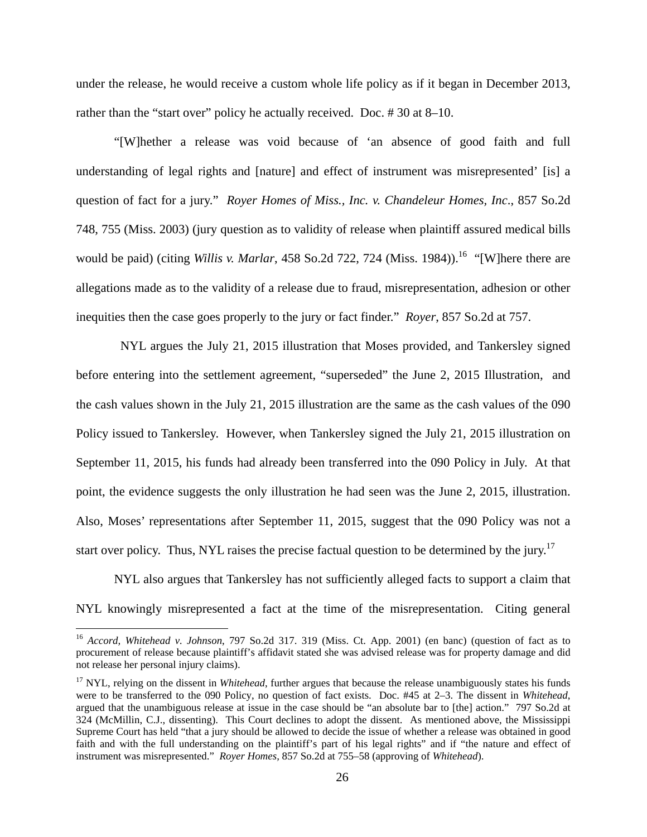under the release, he would receive a custom whole life policy as if it began in December 2013, rather than the "start over" policy he actually received. Doc. # 30 at 8–10.

"[W]hether a release was void because of 'an absence of good faith and full understanding of legal rights and [nature] and effect of instrument was misrepresented' [is] a question of fact for a jury." *Royer Homes of Miss., Inc. v. Chandeleur Homes, Inc*., 857 So.2d 748, 755 (Miss. 2003) (jury question as to validity of release when plaintiff assured medical bills would be paid) (citing *Willis v. Marlar*, 458 So.2d 722, 724 (Miss. 1984)).<sup>16</sup> "[W]here there are allegations made as to the validity of a release due to fraud, misrepresentation, adhesion or other inequities then the case goes properly to the jury or fact finder." *Royer*, 857 So.2d at 757.

 NYL argues the July 21, 2015 illustration that Moses provided, and Tankersley signed before entering into the settlement agreement, "superseded" the June 2, 2015 Illustration, and the cash values shown in the July 21, 2015 illustration are the same as the cash values of the 090 Policy issued to Tankersley. However, when Tankersley signed the July 21, 2015 illustration on September 11, 2015, his funds had already been transferred into the 090 Policy in July. At that point, the evidence suggests the only illustration he had seen was the June 2, 2015, illustration. Also, Moses' representations after September 11, 2015, suggest that the 090 Policy was not a start over policy. Thus, NYL raises the precise factual question to be determined by the jury.<sup>17</sup>

NYL also argues that Tankersley has not sufficiently alleged facts to support a claim that NYL knowingly misrepresented a fact at the time of the misrepresentation. Citing general

<sup>16</sup> *Accord, Whitehead v. Johnson*, 797 So.2d 317. 319 (Miss. Ct. App. 2001) (en banc) (question of fact as to procurement of release because plaintiff's affidavit stated she was advised release was for property damage and did not release her personal injury claims).

<sup>&</sup>lt;sup>17</sup> NYL, relying on the dissent in *Whitehead*, further argues that because the release unambiguously states his funds were to be transferred to the 090 Policy, no question of fact exists. Doc. #45 at 2–3. The dissent in *Whitehead*, argued that the unambiguous release at issue in the case should be "an absolute bar to [the] action." 797 So.2d at 324 (McMillin, C.J., dissenting). This Court declines to adopt the dissent. As mentioned above, the Mississippi Supreme Court has held "that a jury should be allowed to decide the issue of whether a release was obtained in good faith and with the full understanding on the plaintiff's part of his legal rights" and if "the nature and effect of instrument was misrepresented." *Royer Homes,* 857 So.2d at 755–58 (approving of *Whitehead*).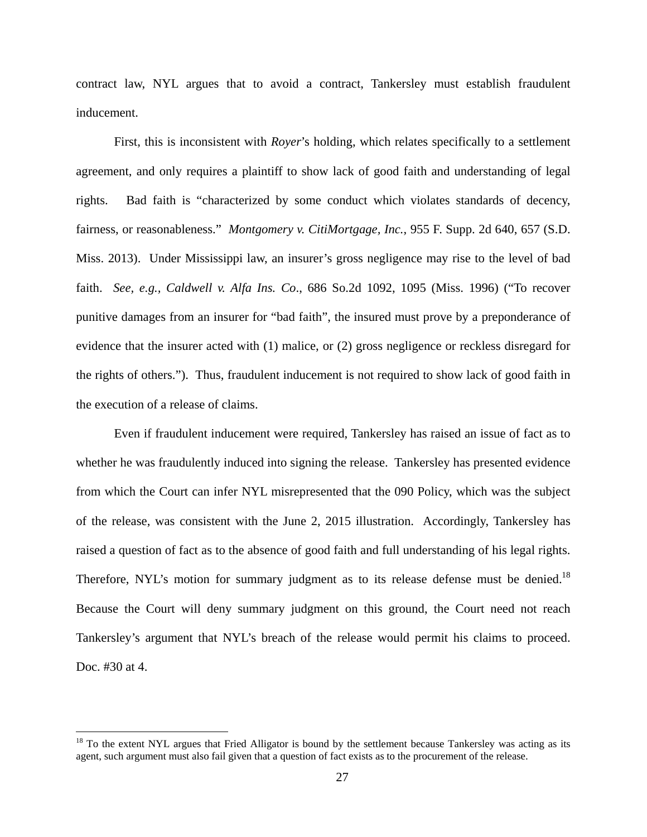contract law, NYL argues that to avoid a contract, Tankersley must establish fraudulent inducement.

First, this is inconsistent with *Royer*'s holding, which relates specifically to a settlement agreement, and only requires a plaintiff to show lack of good faith and understanding of legal rights. Bad faith is "characterized by some conduct which violates standards of decency, fairness, or reasonableness." *Montgomery v. CitiMortgage, Inc.*, 955 F. Supp. 2d 640, 657 (S.D. Miss. 2013). Under Mississippi law, an insurer's gross negligence may rise to the level of bad faith. *See, e.g., Caldwell v. Alfa Ins. Co*., 686 So.2d 1092, 1095 (Miss. 1996) ("To recover punitive damages from an insurer for "bad faith", the insured must prove by a preponderance of evidence that the insurer acted with (1) malice, or (2) gross negligence or reckless disregard for the rights of others."). Thus, fraudulent inducement is not required to show lack of good faith in the execution of a release of claims.

Even if fraudulent inducement were required, Tankersley has raised an issue of fact as to whether he was fraudulently induced into signing the release. Tankersley has presented evidence from which the Court can infer NYL misrepresented that the 090 Policy, which was the subject of the release, was consistent with the June 2, 2015 illustration. Accordingly, Tankersley has raised a question of fact as to the absence of good faith and full understanding of his legal rights. Therefore, NYL's motion for summary judgment as to its release defense must be denied.<sup>18</sup> Because the Court will deny summary judgment on this ground, the Court need not reach Tankersley's argument that NYL's breach of the release would permit his claims to proceed. Doc. #30 at 4.

<u>.</u>

 $18$  To the extent NYL argues that Fried Alligator is bound by the settlement because Tankersley was acting as its agent, such argument must also fail given that a question of fact exists as to the procurement of the release.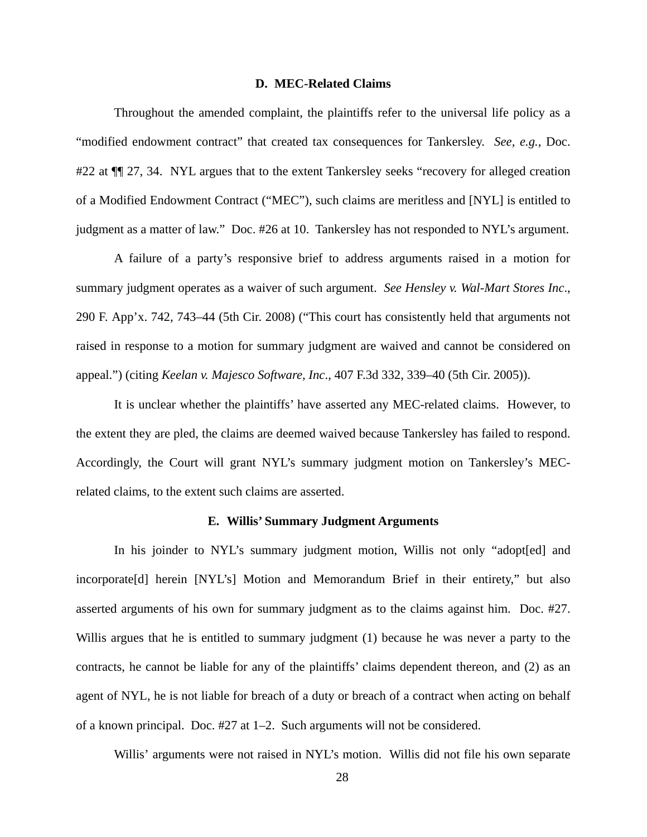#### **D. MEC-Related Claims**

Throughout the amended complaint, the plaintiffs refer to the universal life policy as a "modified endowment contract" that created tax consequences for Tankersley. *See, e.g.*, Doc. #22 at  $\P$  27, 34. NYL argues that to the extent Tankersley seeks "recovery for alleged creation of a Modified Endowment Contract ("MEC"), such claims are meritless and [NYL] is entitled to judgment as a matter of law." Doc. #26 at 10. Tankersley has not responded to NYL's argument.

A failure of a party's responsive brief to address arguments raised in a motion for summary judgment operates as a waiver of such argument. *See Hensley v. Wal-Mart Stores Inc*., 290 F. App'x. 742, 743–44 (5th Cir. 2008) ("This court has consistently held that arguments not raised in response to a motion for summary judgment are waived and cannot be considered on appeal.") (citing *Keelan v. Majesco Software, Inc*., 407 F.3d 332, 339–40 (5th Cir. 2005)).

It is unclear whether the plaintiffs' have asserted any MEC-related claims. However, to the extent they are pled, the claims are deemed waived because Tankersley has failed to respond. Accordingly, the Court will grant NYL's summary judgment motion on Tankersley's MECrelated claims, to the extent such claims are asserted.

#### **E. Willis' Summary Judgment Arguments**

In his joinder to NYL's summary judgment motion, Willis not only "adopt[ed] and incorporate[d] herein [NYL's] Motion and Memorandum Brief in their entirety," but also asserted arguments of his own for summary judgment as to the claims against him. Doc. #27. Willis argues that he is entitled to summary judgment (1) because he was never a party to the contracts, he cannot be liable for any of the plaintiffs' claims dependent thereon, and (2) as an agent of NYL, he is not liable for breach of a duty or breach of a contract when acting on behalf of a known principal. Doc. #27 at 1–2. Such arguments will not be considered.

Willis' arguments were not raised in NYL's motion. Willis did not file his own separate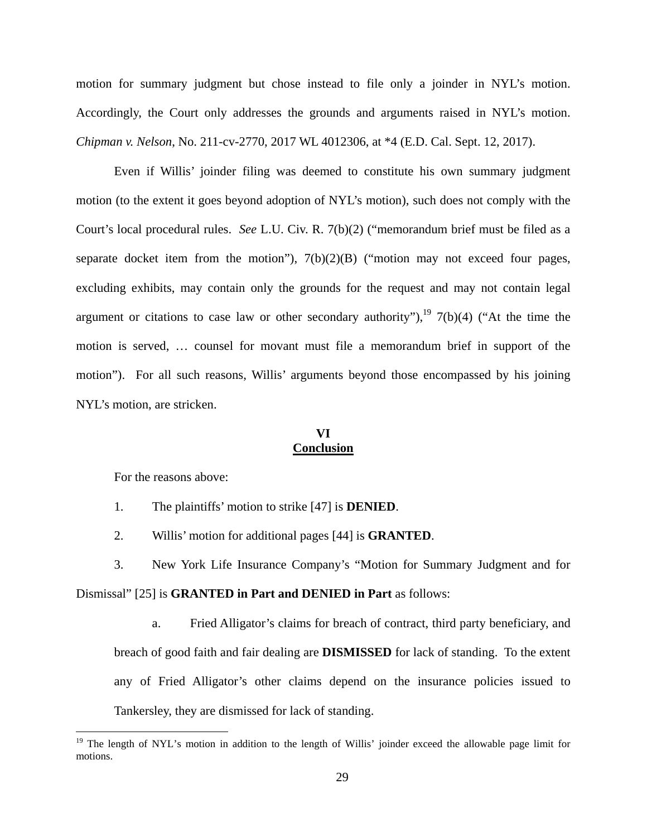motion for summary judgment but chose instead to file only a joinder in NYL's motion. Accordingly, the Court only addresses the grounds and arguments raised in NYL's motion. *Chipman v. Nelson*, No. 211-cv-2770, 2017 WL 4012306, at \*4 (E.D. Cal. Sept. 12, 2017).

Even if Willis' joinder filing was deemed to constitute his own summary judgment motion (to the extent it goes beyond adoption of NYL's motion), such does not comply with the Court's local procedural rules. *See* L.U. Civ. R. 7(b)(2) ("memorandum brief must be filed as a separate docket item from the motion"),  $7(b)(2)(B)$  ("motion may not exceed four pages, excluding exhibits, may contain only the grounds for the request and may not contain legal argument or citations to case law or other secondary authority"), $19$  7(b)(4) ("At the time the motion is served, … counsel for movant must file a memorandum brief in support of the motion"). For all such reasons, Willis' arguments beyond those encompassed by his joining NYL's motion, are stricken.

## **VI Conclusion**

For the reasons above:

<u>.</u>

- 1. The plaintiffs' motion to strike [47] is **DENIED**.
- 2. Willis' motion for additional pages [44] is **GRANTED**.
- 3. New York Life Insurance Company's "Motion for Summary Judgment and for Dismissal" [25] is **GRANTED in Part and DENIED in Part** as follows:
	- a. Fried Alligator's claims for breach of contract, third party beneficiary, and breach of good faith and fair dealing are **DISMISSED** for lack of standing. To the extent any of Fried Alligator's other claims depend on the insurance policies issued to Tankersley, they are dismissed for lack of standing.

<sup>&</sup>lt;sup>19</sup> The length of NYL's motion in addition to the length of Willis' joinder exceed the allowable page limit for motions.